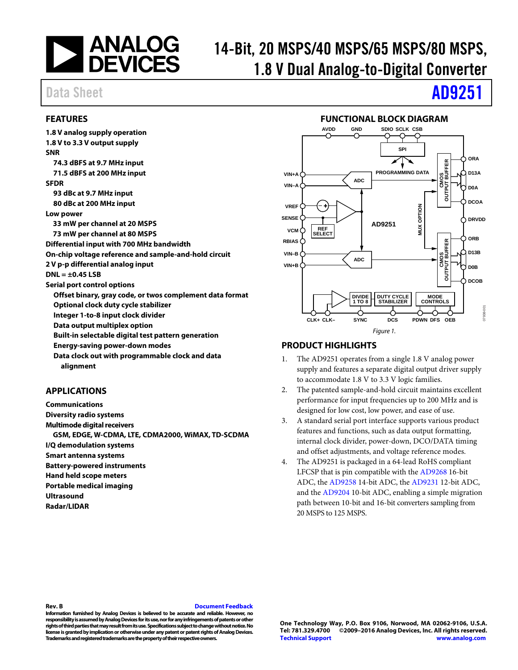

# 14-Bit, 20 MSPS/40 MSPS/65 MSPS/80 MSPS, 1.8 V Dual Analog-to-Digital Converter

# Data Sheet **[AD9251](http://www.analog.com/AD9251?doc=AD9251.pdf)**

# <span id="page-0-0"></span>**FEATURES**

**1.8 V analog supply operation 1.8 V to 3.3 V output supply SNR 74.3 dBFS at 9.7 MHz input 71.5 dBFS at 200 MHz input SFDR 93 dBc at 9.7 MHz input 80 dBc at 200 MHz input Low power 33 mW per channel at 20 MSPS 73 mW per channel at 80 MSPS Differential input with 700 MHz bandwidth On-chip voltage reference and sample-and-hold circuit 2 V p-p differential analog input DNL = ±0.45 LSB Serial port control options Offset binary, gray code, or twos complement data format Optional clock duty cycle stabilizer Integer 1-to-8 input clock divider Data output multiplex option Built-in selectable digital test pattern generation Energy-saving power-down modes Data clock out with programmable clock and data alignment**

# <span id="page-0-1"></span>**APPLICATIONS**

**Communications Diversity radio systems Multimode digital receivers GSM, EDGE, W-CDMA, LTE, CDMA2000, WiMAX, TD-SCDMA I/Q demodulation systems Smart antenna systems Battery-powered instruments Hand held scope meters Portable medical imaging Ultrasound Radar/LIDAR**



<span id="page-0-2"></span>

# <span id="page-0-3"></span>**PRODUCT HIGHLIGHTS**

- 1. The AD9251 operates from a single 1.8 V analog power supply and features a separate digital output driver supply to accommodate 1.8 V to 3.3 V logic families.
- 2. The patented sample-and-hold circuit maintains excellent performance for input frequencies up to 200 MHz and is designed for low cost, low power, and ease of use.
- 3. A standard serial port interface supports various product features and functions, such as data output formatting, internal clock divider, power-down, DCO/DATA timing and offset adjustments, and voltage reference modes.
- 4. The AD9251 is packaged in a 64-lead RoHS compliant LFCSP that is pin compatible with the [AD9268](http://www.analog.com/AD9268) 16-bit ADC, th[e AD9258](http://www.analog.com/AD9258) 14-bit ADC, th[e AD9231](http://www.analog.com/AD9231) 12-bit ADC, and th[e AD9204](http://www.analog.com/AD9204) 10-bit ADC, enabling a simple migration path between 10-bit and 16-bit converters sampling from 20 MSPS to 125 MSPS.

#### **Rev. B [Document Feedback](https://form.analog.com/Form_Pages/feedback/documentfeedback.aspx?doc=AD9251.pdf&product=AD9251&rev=B)**

**Information furnished by Analog Devices is believed to be accurate and reliable. However, no responsibility is assumed by Analog Devices for its use, nor for any infringements of patents or other rights of third parties that may result from its use. Specifications subject to change without notice. No license is granted by implication or otherwise under any patent or patent rights of Analog Devices. Trademarks and registered trademarks are the property of their respective owners.**

**One Technology Way, P.O. Box 9106, Norwood, MA 02062-9106, U.S.A. Tel: 781.329.4700 ©2009–2016 Analog Devices, Inc. All rights reserved. [Technical Support](http://www.analog.com/en/content/technical_support_page/fca.html) [www.analog.com](http://www.analog.com/)**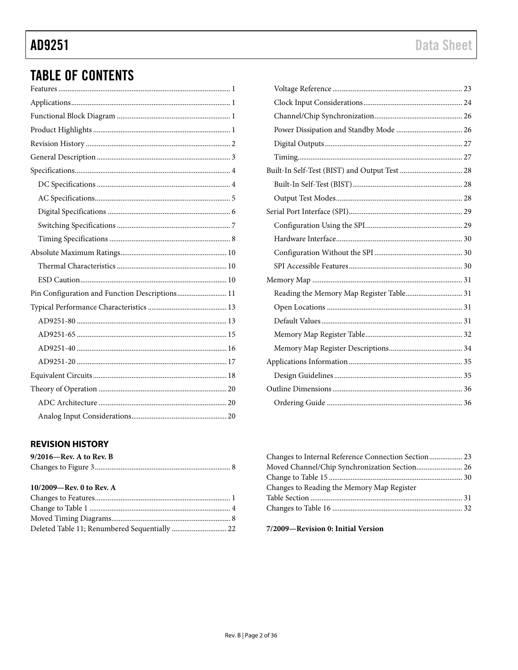# **TABLE OF CONTENTS**

| Pin Configuration and Function Descriptions 11 |
|------------------------------------------------|
|                                                |
|                                                |
|                                                |
|                                                |
|                                                |
|                                                |
|                                                |
|                                                |
|                                                |

# <span id="page-1-0"></span>**REVISION HISTORY**

| $9/2016$ —Rev. A to Rev. B  |  |
|-----------------------------|--|
|                             |  |
| $10/2009$ —Rev. 0 to Rev. A |  |

| $101 - 000 - 1101 - 0001 - 1101 - 1100$ |  |
|-----------------------------------------|--|
|                                         |  |
|                                         |  |
|                                         |  |
|                                         |  |
|                                         |  |

| Reading the Memory Map Register Table 31 |  |
|------------------------------------------|--|
|                                          |  |
|                                          |  |
|                                          |  |
|                                          |  |
|                                          |  |
|                                          |  |
|                                          |  |
|                                          |  |
|                                          |  |

| Changes to Internal Reference Connection Section 23 |  |
|-----------------------------------------------------|--|
| Moved Channel/Chip Synchronization Section 26       |  |
|                                                     |  |
| Changes to Reading the Memory Map Register          |  |
|                                                     |  |
|                                                     |  |
|                                                     |  |

7/2009-Revision 0: Initial Version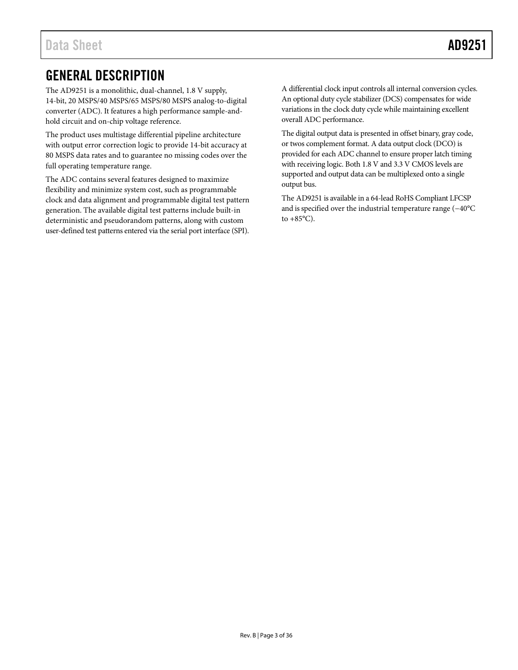# <span id="page-2-0"></span>GENERAL DESCRIPTION

The AD9251 is a monolithic, dual-channel, 1.8 V supply, 14-bit, 20 MSPS/40 MSPS/65 MSPS/80 MSPS analog-to-digital converter (ADC). It features a high performance sample-andhold circuit and on-chip voltage reference.

The product uses multistage differential pipeline architecture with output error correction logic to provide 14-bit accuracy at 80 MSPS data rates and to guarantee no missing codes over the full operating temperature range.

The ADC contains several features designed to maximize flexibility and minimize system cost, such as programmable clock and data alignment and programmable digital test pattern generation. The available digital test patterns include built-in deterministic and pseudorandom patterns, along with custom user-defined test patterns entered via the serial port interface (SPI).

A differential clock input controls all internal conversion cycles. An optional duty cycle stabilizer (DCS) compensates for wide variations in the clock duty cycle while maintaining excellent overall ADC performance.

The digital output data is presented in offset binary, gray code, or twos complement format. A data output clock (DCO) is provided for each ADC channel to ensure proper latch timing with receiving logic. Both 1.8 V and 3.3 V CMOS levels are supported and output data can be multiplexed onto a single output bus.

The AD9251 is available in a 64-lead RoHS Compliant LFCSP and is specified over the industrial temperature range (−40°C to  $+85^{\circ}$ C).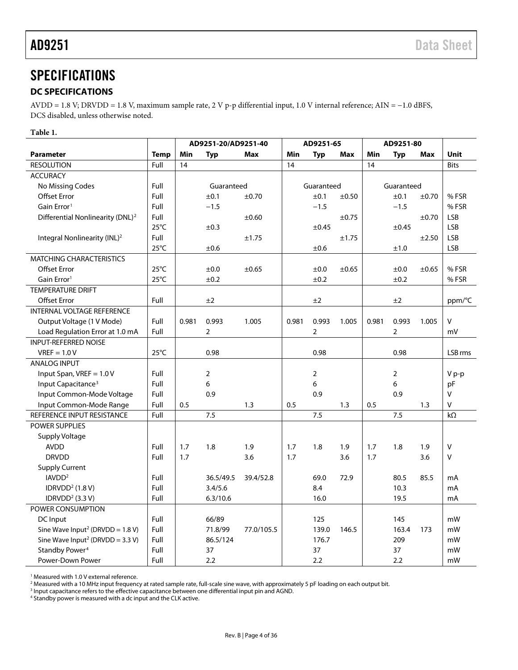# <span id="page-3-0"></span>SPECIFICATIONS

# <span id="page-3-1"></span>**DC SPECIFICATIONS**

AVDD = 1.8 V; DRVDD = 1.8 V, maximum sample rate, 2 V p-p differential input, 1.0 V internal reference; AIN = −1.0 dBFS, DCS disabled, unless otherwise noted.

## **Table 1.**

|                                                |                | AD9251-20/AD9251-40 |                | AD9251-65  |       |                | AD9251-80  |       |                |            |             |
|------------------------------------------------|----------------|---------------------|----------------|------------|-------|----------------|------------|-------|----------------|------------|-------------|
| <b>Parameter</b>                               | <b>Temp</b>    | Min                 | <b>Typ</b>     | <b>Max</b> | Min   | <b>Typ</b>     | <b>Max</b> | Min   | <b>Typ</b>     | Max        | <b>Unit</b> |
| <b>RESOLUTION</b>                              | Full           | 14                  |                |            | 14    |                |            | 14    |                |            | <b>Bits</b> |
| <b>ACCURACY</b>                                |                |                     |                |            |       |                |            |       |                |            |             |
| No Missing Codes                               | Full           |                     | Guaranteed     |            |       | Guaranteed     |            |       | Guaranteed     |            |             |
| <b>Offset Error</b>                            | Full           |                     | ±0.1           | $\pm 0.70$ |       | ±0.1           | ±0.50      |       | ±0.1           | ±0.70      | % FSR       |
| Gain Error <sup>1</sup>                        | Full           |                     | $-1.5$         |            |       | $-1.5$         |            |       | $-1.5$         |            | %FSR        |
| Differential Nonlinearity (DNL) <sup>2</sup>   | Full           |                     |                | $\pm 0.60$ |       |                | ±0.75      |       |                | ±0.70      | <b>LSB</b>  |
|                                                | $25^{\circ}$ C |                     | ±0.3           |            |       | ±0.45          |            |       | $\pm 0.45$     |            | <b>LSB</b>  |
| Integral Nonlinearity (INL) <sup>2</sup>       | Full           |                     |                | ±1.75      |       |                | ±1.75      |       |                | ±2.50      | <b>LSB</b>  |
|                                                | $25^{\circ}$ C |                     | ±0.6           |            |       | ±0.6           |            |       | ±1.0           |            | <b>LSB</b>  |
| <b>MATCHING CHARACTERISTICS</b>                |                |                     |                |            |       |                |            |       |                |            |             |
| <b>Offset Error</b>                            | $25^{\circ}$ C |                     | ±0.0           | $\pm 0.65$ |       | ±0.0           | $\pm 0.65$ |       | ±0.0           | $\pm 0.65$ | %FSR        |
| Gain Error <sup>1</sup>                        | $25^{\circ}$ C |                     | ±0.2           |            |       | ±0.2           |            |       | ±0.2           |            | %FSR        |
| <b>TEMPERATURE DRIFT</b>                       |                |                     |                |            |       |                |            |       |                |            |             |
| <b>Offset Error</b>                            | Full           |                     | ±2             |            |       | ±2             |            |       | ±2             |            | ppm/°C      |
| <b>INTERNAL VOLTAGE REFERENCE</b>              |                |                     |                |            |       |                |            |       |                |            |             |
| Output Voltage (1 V Mode)                      | Full           | 0.981               | 0.993          | 1.005      | 0.981 | 0.993          | 1.005      | 0.981 | 0.993          | 1.005      | V           |
| Load Regulation Error at 1.0 mA                | Full           |                     | $\overline{2}$ |            |       | $\overline{2}$ |            |       | $\overline{2}$ |            | mV          |
| <b>INPUT-REFERRED NOISE</b>                    |                |                     |                |            |       |                |            |       |                |            |             |
| $VREF = 1.0 V$                                 | $25^{\circ}$ C |                     | 0.98           |            |       | 0.98           |            |       | 0.98           |            | LSB rms     |
| <b>ANALOG INPUT</b>                            |                |                     |                |            |       |                |            |       |                |            |             |
| Input Span, VREF = 1.0 V                       | Full           |                     | $\overline{2}$ |            |       | $\overline{2}$ |            |       | $\overline{2}$ |            | $V p-p$     |
| Input Capacitance <sup>3</sup>                 | Full           |                     | 6              |            |       | 6              |            |       | 6              |            | pF          |
| Input Common-Mode Voltage                      | Full           |                     | 0.9            |            |       | 0.9            |            |       | 0.9            |            | v           |
| Input Common-Mode Range                        | Full           | 0.5                 |                | 1.3        | 0.5   |                | 1.3        | 0.5   |                | 1.3        | V           |
| REFERENCE INPUT RESISTANCE                     | Full           |                     | 7.5            |            |       | 7.5            |            |       | 7.5            |            | $k\Omega$   |
| <b>POWER SUPPLIES</b>                          |                |                     |                |            |       |                |            |       |                |            |             |
| Supply Voltage                                 |                |                     |                |            |       |                |            |       |                |            |             |
| <b>AVDD</b>                                    | Full           | 1.7                 | 1.8            | 1.9        | 1.7   | 1.8            | 1.9        | 1.7   | 1.8            | 1.9        | V           |
| <b>DRVDD</b>                                   | Full           | 1.7                 |                | 3.6        | 1.7   |                | 3.6        | 1.7   |                | 3.6        | v           |
| <b>Supply Current</b>                          |                |                     |                |            |       |                |            |       |                |            |             |
| IAVDD <sup>2</sup>                             | Full           |                     | 36.5/49.5      | 39.4/52.8  |       | 69.0           | 72.9       |       | 80.5           | 85.5       | mA          |
| IDRVDD <sup>2</sup> $(1.8 V)$                  | Full           |                     | 3.4/5.6        |            |       | 8.4            |            |       | 10.3           |            | mA          |
| IDRVDD <sup>2</sup> (3.3 V)                    | Full           |                     | 6.3/10.6       |            |       | 16.0           |            |       | 19.5           |            | mA          |
| POWER CONSUMPTION                              |                |                     |                |            |       |                |            |       |                |            |             |
| DC Input                                       | Full           |                     | 66/89          |            |       | 125            |            |       | 145            |            | mW          |
| Sine Wave Input <sup>2</sup> (DRVDD = $1.8$ V) | Full           |                     | 71.8/99        | 77.0/105.5 |       | 139.0          | 146.5      |       | 163.4          | 173        | mW          |
| Sine Wave Input <sup>2</sup> (DRVDD = 3.3 V)   | Full           |                     | 86.5/124       |            |       | 176.7          |            |       | 209            |            | mW          |
| Standby Power <sup>4</sup>                     | Full           |                     | 37             |            |       | 37             |            |       | 37             |            | mW          |
| Power-Down Power                               | Full           |                     | 2.2            |            |       | 2.2            |            |       | 2.2            |            | mW          |

<sup>1</sup> Measured with 1.0 V external reference.

<sup>4</sup> Standby power is measured with a dc input and the CLK active.

<sup>&</sup>lt;sup>2</sup> Measured with a 10 MHz input frequency at rated sample rate, full-scale sine wave, with approximately 5 pF loading on each output bit.<br><sup>3</sup> Input capacitance refers to the effective capacitance between one differential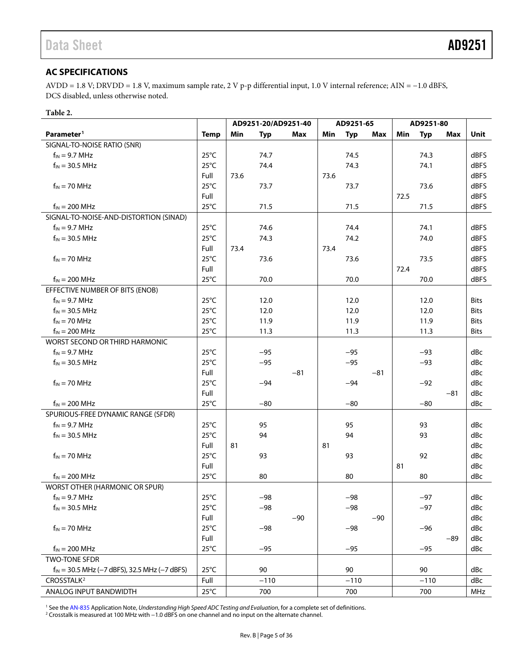# <span id="page-4-0"></span>**AC SPECIFICATIONS**

AVDD = 1.8 V; DRVDD = 1.8 V, maximum sample rate, 2 V p-p differential input, 1.0 V internal reference; AIN = −1.0 dBFS, DCS disabled, unless otherwise noted.

#### **Table 2.**

| Parameter <sup>1</sup><br><b>Temp</b><br>Min<br><b>Typ</b><br><b>Typ</b><br>Min<br><b>Typ</b><br>Max<br>Min<br>Max<br>Max<br>Unit<br>SIGNAL-TO-NOISE RATIO (SNR)<br>$25^{\circ}$ C<br>74.7<br>dBFS<br>$f_{IN}$ = 9.7 MHz<br>74.5<br>74.3<br>$25^{\circ}$ C<br>74.3<br>dBFS<br>$f_{IN}$ = 30.5 MHz<br>74.4<br>74.1<br>Full<br>dBFS<br>73.6<br>73.6<br>$f_{IN}$ = 70 MHz<br>$25^{\circ}$ C<br>dBFS<br>73.7<br>73.7<br>73.6<br>Full<br>dBFS<br>72.5<br>$25^{\circ}$ C<br>$f_{IN}$ = 200 MHz<br>71.5<br>71.5<br>dBFS<br>71.5<br>SIGNAL-TO-NOISE-AND-DISTORTION (SINAD)<br>$25^{\circ}$ C<br>dBFS<br>$f_{IN}$ = 9.7 MHz<br>74.6<br>74.4<br>74.1<br>$f_{IN}$ = 30.5 MHz<br>$25^{\circ}$ C<br>74.2<br>74.0<br>dBFS<br>74.3<br>dBFS<br>Full<br>73.4<br>73.4<br>$f_{IN}$ = 70 MHz<br>$25^{\circ}$ C<br>dBFS<br>73.6<br>73.6<br>73.5<br>dBFS<br>Full<br>72.4<br>$f_{IN} = 200$ MHz<br>$25^{\circ}$ C<br>70.0<br>70.0<br>70.0<br>dBFS<br>EFFECTIVE NUMBER OF BITS (ENOB)<br>$25^{\circ}$ C<br>$f_{IN}$ = 9.7 MHz<br>12.0<br>12.0<br>12.0<br><b>Bits</b><br>$f_{IN} = 30.5 \, MHz$<br>$25^{\circ}$ C<br>12.0<br>12.0<br>12.0<br><b>Bits</b><br>$f_{IN}$ = 70 MHz<br>$25^{\circ}$ C<br>11.9<br>11.9<br>11.9<br><b>Bits</b><br>$25^{\circ}$ C<br>$f_{IN}$ = 200 MHz<br>11.3<br>11.3<br>11.3<br><b>Bits</b><br>WORST SECOND OR THIRD HARMONIC<br>$25^{\circ}$ C<br>$f_{IN}$ = 9.7 MHz<br>$-95$<br>$-95$<br>dBc<br>-93<br>$25^{\circ}$ C<br>dBc<br>$f_{IN}$ = 30.5 MHz<br>$-95$<br>$-95$<br>$-93$<br>Full<br>dBc<br>$-81$<br>$-81$<br>$f_{IN}$ = 70 MHz<br>$25^{\circ}$ C<br>dBc<br>$-94$<br>$-94$<br>$-92$<br>Full<br>$-81$<br>dBc<br>$25^{\circ}$ C<br>$f_{IN}$ = 200 MHz<br>$-80$<br>$-80$<br>$-80$<br>dBc<br>SPURIOUS-FREE DYNAMIC RANGE (SFDR)<br>$f_{IN}$ = 9.7 MHz<br>$25^{\circ}$ C<br>95<br>95<br>93<br>dBc<br>$25^{\circ}$ C<br>$f_{IN}$ = 30.5 MHz<br>94<br>94<br>93<br>dBc<br>Full<br>81<br>dBc<br>81<br>$f_{IN}$ = 70 MHz<br>$25^{\circ}$ C<br>93<br>93<br>92<br>dBc<br>Full<br>81<br>dBc<br>$f_{IN} = 200$ MHz<br>$25^{\circ}$ C<br>80<br>80<br>80<br>dBc<br>WORST OTHER (HARMONIC OR SPUR)<br>$25^{\circ}$ C<br>$f_{IN}$ = 9.7 MHz<br>$-98$<br>$-98$<br>$-97$<br>dBc<br>$f_{IN}$ = 30.5 MHz<br>$25^{\circ}$ C<br>$-98$<br>$-97$<br>dBc<br>-98<br>Full<br>$-90$<br>$-90$<br>dBc<br>$f_{IN}$ = 70 MHz<br>$25^{\circ}$ C<br>$-98$<br>dBc<br>$-98$<br>$-96$ |  | AD9251-20/AD9251-40 |  | AD9251-65 |  | AD9251-80 |  |
|--------------------------------------------------------------------------------------------------------------------------------------------------------------------------------------------------------------------------------------------------------------------------------------------------------------------------------------------------------------------------------------------------------------------------------------------------------------------------------------------------------------------------------------------------------------------------------------------------------------------------------------------------------------------------------------------------------------------------------------------------------------------------------------------------------------------------------------------------------------------------------------------------------------------------------------------------------------------------------------------------------------------------------------------------------------------------------------------------------------------------------------------------------------------------------------------------------------------------------------------------------------------------------------------------------------------------------------------------------------------------------------------------------------------------------------------------------------------------------------------------------------------------------------------------------------------------------------------------------------------------------------------------------------------------------------------------------------------------------------------------------------------------------------------------------------------------------------------------------------------------------------------------------------------------------------------------------------------------------------------------------------------------------------------------------------------------------------------------------------------------------------------------------------------------------------------------------------------------------------------------------------------------------------------------------------------------------------------------------|--|---------------------|--|-----------|--|-----------|--|
|                                                                                                                                                                                                                                                                                                                                                                                                                                                                                                                                                                                                                                                                                                                                                                                                                                                                                                                                                                                                                                                                                                                                                                                                                                                                                                                                                                                                                                                                                                                                                                                                                                                                                                                                                                                                                                                                                                                                                                                                                                                                                                                                                                                                                                                                                                                                                        |  |                     |  |           |  |           |  |
|                                                                                                                                                                                                                                                                                                                                                                                                                                                                                                                                                                                                                                                                                                                                                                                                                                                                                                                                                                                                                                                                                                                                                                                                                                                                                                                                                                                                                                                                                                                                                                                                                                                                                                                                                                                                                                                                                                                                                                                                                                                                                                                                                                                                                                                                                                                                                        |  |                     |  |           |  |           |  |
|                                                                                                                                                                                                                                                                                                                                                                                                                                                                                                                                                                                                                                                                                                                                                                                                                                                                                                                                                                                                                                                                                                                                                                                                                                                                                                                                                                                                                                                                                                                                                                                                                                                                                                                                                                                                                                                                                                                                                                                                                                                                                                                                                                                                                                                                                                                                                        |  |                     |  |           |  |           |  |
|                                                                                                                                                                                                                                                                                                                                                                                                                                                                                                                                                                                                                                                                                                                                                                                                                                                                                                                                                                                                                                                                                                                                                                                                                                                                                                                                                                                                                                                                                                                                                                                                                                                                                                                                                                                                                                                                                                                                                                                                                                                                                                                                                                                                                                                                                                                                                        |  |                     |  |           |  |           |  |
|                                                                                                                                                                                                                                                                                                                                                                                                                                                                                                                                                                                                                                                                                                                                                                                                                                                                                                                                                                                                                                                                                                                                                                                                                                                                                                                                                                                                                                                                                                                                                                                                                                                                                                                                                                                                                                                                                                                                                                                                                                                                                                                                                                                                                                                                                                                                                        |  |                     |  |           |  |           |  |
|                                                                                                                                                                                                                                                                                                                                                                                                                                                                                                                                                                                                                                                                                                                                                                                                                                                                                                                                                                                                                                                                                                                                                                                                                                                                                                                                                                                                                                                                                                                                                                                                                                                                                                                                                                                                                                                                                                                                                                                                                                                                                                                                                                                                                                                                                                                                                        |  |                     |  |           |  |           |  |
|                                                                                                                                                                                                                                                                                                                                                                                                                                                                                                                                                                                                                                                                                                                                                                                                                                                                                                                                                                                                                                                                                                                                                                                                                                                                                                                                                                                                                                                                                                                                                                                                                                                                                                                                                                                                                                                                                                                                                                                                                                                                                                                                                                                                                                                                                                                                                        |  |                     |  |           |  |           |  |
|                                                                                                                                                                                                                                                                                                                                                                                                                                                                                                                                                                                                                                                                                                                                                                                                                                                                                                                                                                                                                                                                                                                                                                                                                                                                                                                                                                                                                                                                                                                                                                                                                                                                                                                                                                                                                                                                                                                                                                                                                                                                                                                                                                                                                                                                                                                                                        |  |                     |  |           |  |           |  |
|                                                                                                                                                                                                                                                                                                                                                                                                                                                                                                                                                                                                                                                                                                                                                                                                                                                                                                                                                                                                                                                                                                                                                                                                                                                                                                                                                                                                                                                                                                                                                                                                                                                                                                                                                                                                                                                                                                                                                                                                                                                                                                                                                                                                                                                                                                                                                        |  |                     |  |           |  |           |  |
|                                                                                                                                                                                                                                                                                                                                                                                                                                                                                                                                                                                                                                                                                                                                                                                                                                                                                                                                                                                                                                                                                                                                                                                                                                                                                                                                                                                                                                                                                                                                                                                                                                                                                                                                                                                                                                                                                                                                                                                                                                                                                                                                                                                                                                                                                                                                                        |  |                     |  |           |  |           |  |
|                                                                                                                                                                                                                                                                                                                                                                                                                                                                                                                                                                                                                                                                                                                                                                                                                                                                                                                                                                                                                                                                                                                                                                                                                                                                                                                                                                                                                                                                                                                                                                                                                                                                                                                                                                                                                                                                                                                                                                                                                                                                                                                                                                                                                                                                                                                                                        |  |                     |  |           |  |           |  |
|                                                                                                                                                                                                                                                                                                                                                                                                                                                                                                                                                                                                                                                                                                                                                                                                                                                                                                                                                                                                                                                                                                                                                                                                                                                                                                                                                                                                                                                                                                                                                                                                                                                                                                                                                                                                                                                                                                                                                                                                                                                                                                                                                                                                                                                                                                                                                        |  |                     |  |           |  |           |  |
|                                                                                                                                                                                                                                                                                                                                                                                                                                                                                                                                                                                                                                                                                                                                                                                                                                                                                                                                                                                                                                                                                                                                                                                                                                                                                                                                                                                                                                                                                                                                                                                                                                                                                                                                                                                                                                                                                                                                                                                                                                                                                                                                                                                                                                                                                                                                                        |  |                     |  |           |  |           |  |
|                                                                                                                                                                                                                                                                                                                                                                                                                                                                                                                                                                                                                                                                                                                                                                                                                                                                                                                                                                                                                                                                                                                                                                                                                                                                                                                                                                                                                                                                                                                                                                                                                                                                                                                                                                                                                                                                                                                                                                                                                                                                                                                                                                                                                                                                                                                                                        |  |                     |  |           |  |           |  |
|                                                                                                                                                                                                                                                                                                                                                                                                                                                                                                                                                                                                                                                                                                                                                                                                                                                                                                                                                                                                                                                                                                                                                                                                                                                                                                                                                                                                                                                                                                                                                                                                                                                                                                                                                                                                                                                                                                                                                                                                                                                                                                                                                                                                                                                                                                                                                        |  |                     |  |           |  |           |  |
|                                                                                                                                                                                                                                                                                                                                                                                                                                                                                                                                                                                                                                                                                                                                                                                                                                                                                                                                                                                                                                                                                                                                                                                                                                                                                                                                                                                                                                                                                                                                                                                                                                                                                                                                                                                                                                                                                                                                                                                                                                                                                                                                                                                                                                                                                                                                                        |  |                     |  |           |  |           |  |
|                                                                                                                                                                                                                                                                                                                                                                                                                                                                                                                                                                                                                                                                                                                                                                                                                                                                                                                                                                                                                                                                                                                                                                                                                                                                                                                                                                                                                                                                                                                                                                                                                                                                                                                                                                                                                                                                                                                                                                                                                                                                                                                                                                                                                                                                                                                                                        |  |                     |  |           |  |           |  |
|                                                                                                                                                                                                                                                                                                                                                                                                                                                                                                                                                                                                                                                                                                                                                                                                                                                                                                                                                                                                                                                                                                                                                                                                                                                                                                                                                                                                                                                                                                                                                                                                                                                                                                                                                                                                                                                                                                                                                                                                                                                                                                                                                                                                                                                                                                                                                        |  |                     |  |           |  |           |  |
|                                                                                                                                                                                                                                                                                                                                                                                                                                                                                                                                                                                                                                                                                                                                                                                                                                                                                                                                                                                                                                                                                                                                                                                                                                                                                                                                                                                                                                                                                                                                                                                                                                                                                                                                                                                                                                                                                                                                                                                                                                                                                                                                                                                                                                                                                                                                                        |  |                     |  |           |  |           |  |
|                                                                                                                                                                                                                                                                                                                                                                                                                                                                                                                                                                                                                                                                                                                                                                                                                                                                                                                                                                                                                                                                                                                                                                                                                                                                                                                                                                                                                                                                                                                                                                                                                                                                                                                                                                                                                                                                                                                                                                                                                                                                                                                                                                                                                                                                                                                                                        |  |                     |  |           |  |           |  |
|                                                                                                                                                                                                                                                                                                                                                                                                                                                                                                                                                                                                                                                                                                                                                                                                                                                                                                                                                                                                                                                                                                                                                                                                                                                                                                                                                                                                                                                                                                                                                                                                                                                                                                                                                                                                                                                                                                                                                                                                                                                                                                                                                                                                                                                                                                                                                        |  |                     |  |           |  |           |  |
|                                                                                                                                                                                                                                                                                                                                                                                                                                                                                                                                                                                                                                                                                                                                                                                                                                                                                                                                                                                                                                                                                                                                                                                                                                                                                                                                                                                                                                                                                                                                                                                                                                                                                                                                                                                                                                                                                                                                                                                                                                                                                                                                                                                                                                                                                                                                                        |  |                     |  |           |  |           |  |
|                                                                                                                                                                                                                                                                                                                                                                                                                                                                                                                                                                                                                                                                                                                                                                                                                                                                                                                                                                                                                                                                                                                                                                                                                                                                                                                                                                                                                                                                                                                                                                                                                                                                                                                                                                                                                                                                                                                                                                                                                                                                                                                                                                                                                                                                                                                                                        |  |                     |  |           |  |           |  |
|                                                                                                                                                                                                                                                                                                                                                                                                                                                                                                                                                                                                                                                                                                                                                                                                                                                                                                                                                                                                                                                                                                                                                                                                                                                                                                                                                                                                                                                                                                                                                                                                                                                                                                                                                                                                                                                                                                                                                                                                                                                                                                                                                                                                                                                                                                                                                        |  |                     |  |           |  |           |  |
|                                                                                                                                                                                                                                                                                                                                                                                                                                                                                                                                                                                                                                                                                                                                                                                                                                                                                                                                                                                                                                                                                                                                                                                                                                                                                                                                                                                                                                                                                                                                                                                                                                                                                                                                                                                                                                                                                                                                                                                                                                                                                                                                                                                                                                                                                                                                                        |  |                     |  |           |  |           |  |
|                                                                                                                                                                                                                                                                                                                                                                                                                                                                                                                                                                                                                                                                                                                                                                                                                                                                                                                                                                                                                                                                                                                                                                                                                                                                                                                                                                                                                                                                                                                                                                                                                                                                                                                                                                                                                                                                                                                                                                                                                                                                                                                                                                                                                                                                                                                                                        |  |                     |  |           |  |           |  |
|                                                                                                                                                                                                                                                                                                                                                                                                                                                                                                                                                                                                                                                                                                                                                                                                                                                                                                                                                                                                                                                                                                                                                                                                                                                                                                                                                                                                                                                                                                                                                                                                                                                                                                                                                                                                                                                                                                                                                                                                                                                                                                                                                                                                                                                                                                                                                        |  |                     |  |           |  |           |  |
|                                                                                                                                                                                                                                                                                                                                                                                                                                                                                                                                                                                                                                                                                                                                                                                                                                                                                                                                                                                                                                                                                                                                                                                                                                                                                                                                                                                                                                                                                                                                                                                                                                                                                                                                                                                                                                                                                                                                                                                                                                                                                                                                                                                                                                                                                                                                                        |  |                     |  |           |  |           |  |
|                                                                                                                                                                                                                                                                                                                                                                                                                                                                                                                                                                                                                                                                                                                                                                                                                                                                                                                                                                                                                                                                                                                                                                                                                                                                                                                                                                                                                                                                                                                                                                                                                                                                                                                                                                                                                                                                                                                                                                                                                                                                                                                                                                                                                                                                                                                                                        |  |                     |  |           |  |           |  |
|                                                                                                                                                                                                                                                                                                                                                                                                                                                                                                                                                                                                                                                                                                                                                                                                                                                                                                                                                                                                                                                                                                                                                                                                                                                                                                                                                                                                                                                                                                                                                                                                                                                                                                                                                                                                                                                                                                                                                                                                                                                                                                                                                                                                                                                                                                                                                        |  |                     |  |           |  |           |  |
|                                                                                                                                                                                                                                                                                                                                                                                                                                                                                                                                                                                                                                                                                                                                                                                                                                                                                                                                                                                                                                                                                                                                                                                                                                                                                                                                                                                                                                                                                                                                                                                                                                                                                                                                                                                                                                                                                                                                                                                                                                                                                                                                                                                                                                                                                                                                                        |  |                     |  |           |  |           |  |
|                                                                                                                                                                                                                                                                                                                                                                                                                                                                                                                                                                                                                                                                                                                                                                                                                                                                                                                                                                                                                                                                                                                                                                                                                                                                                                                                                                                                                                                                                                                                                                                                                                                                                                                                                                                                                                                                                                                                                                                                                                                                                                                                                                                                                                                                                                                                                        |  |                     |  |           |  |           |  |
|                                                                                                                                                                                                                                                                                                                                                                                                                                                                                                                                                                                                                                                                                                                                                                                                                                                                                                                                                                                                                                                                                                                                                                                                                                                                                                                                                                                                                                                                                                                                                                                                                                                                                                                                                                                                                                                                                                                                                                                                                                                                                                                                                                                                                                                                                                                                                        |  |                     |  |           |  |           |  |
|                                                                                                                                                                                                                                                                                                                                                                                                                                                                                                                                                                                                                                                                                                                                                                                                                                                                                                                                                                                                                                                                                                                                                                                                                                                                                                                                                                                                                                                                                                                                                                                                                                                                                                                                                                                                                                                                                                                                                                                                                                                                                                                                                                                                                                                                                                                                                        |  |                     |  |           |  |           |  |
|                                                                                                                                                                                                                                                                                                                                                                                                                                                                                                                                                                                                                                                                                                                                                                                                                                                                                                                                                                                                                                                                                                                                                                                                                                                                                                                                                                                                                                                                                                                                                                                                                                                                                                                                                                                                                                                                                                                                                                                                                                                                                                                                                                                                                                                                                                                                                        |  |                     |  |           |  |           |  |
|                                                                                                                                                                                                                                                                                                                                                                                                                                                                                                                                                                                                                                                                                                                                                                                                                                                                                                                                                                                                                                                                                                                                                                                                                                                                                                                                                                                                                                                                                                                                                                                                                                                                                                                                                                                                                                                                                                                                                                                                                                                                                                                                                                                                                                                                                                                                                        |  |                     |  |           |  |           |  |
|                                                                                                                                                                                                                                                                                                                                                                                                                                                                                                                                                                                                                                                                                                                                                                                                                                                                                                                                                                                                                                                                                                                                                                                                                                                                                                                                                                                                                                                                                                                                                                                                                                                                                                                                                                                                                                                                                                                                                                                                                                                                                                                                                                                                                                                                                                                                                        |  |                     |  |           |  |           |  |
|                                                                                                                                                                                                                                                                                                                                                                                                                                                                                                                                                                                                                                                                                                                                                                                                                                                                                                                                                                                                                                                                                                                                                                                                                                                                                                                                                                                                                                                                                                                                                                                                                                                                                                                                                                                                                                                                                                                                                                                                                                                                                                                                                                                                                                                                                                                                                        |  |                     |  |           |  |           |  |
|                                                                                                                                                                                                                                                                                                                                                                                                                                                                                                                                                                                                                                                                                                                                                                                                                                                                                                                                                                                                                                                                                                                                                                                                                                                                                                                                                                                                                                                                                                                                                                                                                                                                                                                                                                                                                                                                                                                                                                                                                                                                                                                                                                                                                                                                                                                                                        |  |                     |  |           |  |           |  |
| Full<br>dBc<br>$-89$                                                                                                                                                                                                                                                                                                                                                                                                                                                                                                                                                                                                                                                                                                                                                                                                                                                                                                                                                                                                                                                                                                                                                                                                                                                                                                                                                                                                                                                                                                                                                                                                                                                                                                                                                                                                                                                                                                                                                                                                                                                                                                                                                                                                                                                                                                                                   |  |                     |  |           |  |           |  |
| $25^{\circ}$ C<br>$f_{IN}$ = 200 MHz<br>$-95$<br>$-95$<br>dBc<br>$-95$                                                                                                                                                                                                                                                                                                                                                                                                                                                                                                                                                                                                                                                                                                                                                                                                                                                                                                                                                                                                                                                                                                                                                                                                                                                                                                                                                                                                                                                                                                                                                                                                                                                                                                                                                                                                                                                                                                                                                                                                                                                                                                                                                                                                                                                                                 |  |                     |  |           |  |           |  |
| TWO-TONE SFDR                                                                                                                                                                                                                                                                                                                                                                                                                                                                                                                                                                                                                                                                                                                                                                                                                                                                                                                                                                                                                                                                                                                                                                                                                                                                                                                                                                                                                                                                                                                                                                                                                                                                                                                                                                                                                                                                                                                                                                                                                                                                                                                                                                                                                                                                                                                                          |  |                     |  |           |  |           |  |
| $25^{\circ}$ C<br>$f_{IN}$ = 30.5 MHz (-7 dBFS), 32.5 MHz (-7 dBFS)<br>90<br>90<br>90<br>dBc                                                                                                                                                                                                                                                                                                                                                                                                                                                                                                                                                                                                                                                                                                                                                                                                                                                                                                                                                                                                                                                                                                                                                                                                                                                                                                                                                                                                                                                                                                                                                                                                                                                                                                                                                                                                                                                                                                                                                                                                                                                                                                                                                                                                                                                           |  |                     |  |           |  |           |  |
| CROSSTALK <sup>2</sup><br>Full<br>$-110$<br>$-110$<br>dBc<br>$-110$                                                                                                                                                                                                                                                                                                                                                                                                                                                                                                                                                                                                                                                                                                                                                                                                                                                                                                                                                                                                                                                                                                                                                                                                                                                                                                                                                                                                                                                                                                                                                                                                                                                                                                                                                                                                                                                                                                                                                                                                                                                                                                                                                                                                                                                                                    |  |                     |  |           |  |           |  |
| $25^{\circ}$ C<br>ANALOG INPUT BANDWIDTH<br>700<br>700<br>700<br>MHz                                                                                                                                                                                                                                                                                                                                                                                                                                                                                                                                                                                                                                                                                                                                                                                                                                                                                                                                                                                                                                                                                                                                                                                                                                                                                                                                                                                                                                                                                                                                                                                                                                                                                                                                                                                                                                                                                                                                                                                                                                                                                                                                                                                                                                                                                   |  |                     |  |           |  |           |  |

<sup>1</sup> See th[e AN-835](http://www.analog.com/AN-835) Application Note, *Understanding High Speed ADC Testing and Evaluation*, for a complete set of definitions.

<sup>2</sup> Crosstalk is measured at 100 MHz with −1.0 dBFS on one channel and no input on the alternate channel.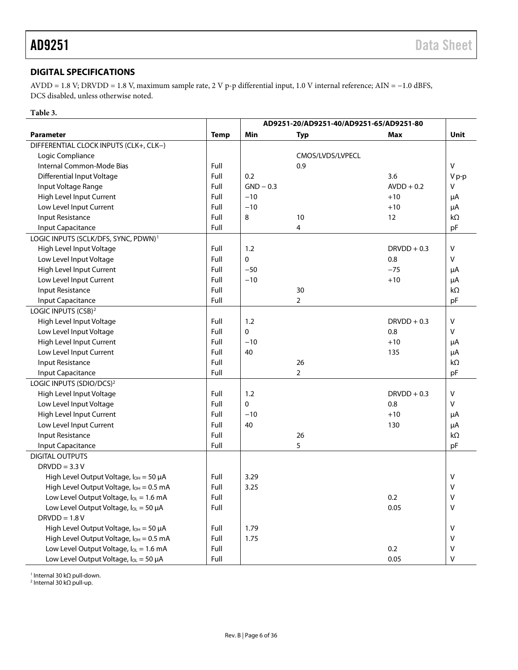# <span id="page-5-0"></span>**DIGITAL SPECIFICATIONS**

AVDD = 1.8 V; DRVDD = 1.8 V, maximum sample rate, 2 V p-p differential input, 1.0 V internal reference; AIN = −1.0 dBFS, DCS disabled, unless otherwise noted.

# **Table 3.**

|                                                     | AD9251-20/AD9251-40/AD9251-65/AD9251-80 |             |                  |               |                    |  |
|-----------------------------------------------------|-----------------------------------------|-------------|------------------|---------------|--------------------|--|
| <b>Parameter</b>                                    | <b>Temp</b>                             | Min         | Typ              | Max           | <b>Unit</b>        |  |
| DIFFERENTIAL CLOCK INPUTS (CLK+, CLK-)              |                                         |             |                  |               |                    |  |
| Logic Compliance                                    |                                         |             | CMOS/LVDS/LVPECL |               |                    |  |
| Internal Common-Mode Bias                           | Full                                    |             | 0.9              |               | v                  |  |
| Differential Input Voltage                          | Full                                    | 0.2         |                  | 3.6           | Vp-p               |  |
| Input Voltage Range                                 | Full                                    | $GND - 0.3$ |                  | $AVDD + 0.2$  | v                  |  |
| High Level Input Current                            | Full                                    | $-10$       |                  | $+10$         | μA                 |  |
| Low Level Input Current                             | Full                                    | $-10$       |                  | $+10$         | μA                 |  |
| Input Resistance                                    | Full                                    | 8           | 10               | 12            | $k\Omega$          |  |
| <b>Input Capacitance</b>                            | Full                                    |             | 4                |               | pF                 |  |
| LOGIC INPUTS (SCLK/DFS, SYNC, PDWN) <sup>1</sup>    |                                         |             |                  |               |                    |  |
| High Level Input Voltage                            | Full                                    | 1.2         |                  | $DRVDD + 0.3$ | v                  |  |
| Low Level Input Voltage                             | Full                                    | $\Omega$    |                  | 0.8           | v                  |  |
| High Level Input Current                            | Full                                    | $-50$       |                  | $-75$         | μA                 |  |
| Low Level Input Current                             | Full                                    | $-10$       |                  | $+10$         | μA                 |  |
| <b>Input Resistance</b>                             | Full                                    |             | 30               |               | $k\Omega$          |  |
| Input Capacitance                                   | Full                                    |             | $\overline{2}$   |               | pF                 |  |
| LOGIC INPUTS (CSB) <sup>2</sup>                     |                                         |             |                  |               |                    |  |
| High Level Input Voltage                            | Full                                    | 1.2         |                  | $DRVDD + 0.3$ | V                  |  |
| Low Level Input Voltage                             | Full                                    | 0           |                  | 0.8           | V                  |  |
| High Level Input Current                            | Full                                    | $-10$       |                  | $+10$         | μA                 |  |
| Low Level Input Current                             | Full                                    | 40          |                  | 135           | μA                 |  |
| Input Resistance                                    | Full                                    |             | 26               |               | $\mathsf{k}\Omega$ |  |
| <b>Input Capacitance</b>                            | Full                                    |             | $\overline{2}$   |               | pF                 |  |
| LOGIC INPUTS (SDIO/DCS) <sup>2</sup>                |                                         |             |                  |               |                    |  |
| High Level Input Voltage                            | Full                                    | 1.2         |                  | $DRVDD + 0.3$ | v                  |  |
| Low Level Input Voltage                             | Full                                    | 0           |                  | 0.8           | v                  |  |
| High Level Input Current                            | Full                                    | $-10$       |                  | $+10$         | μA                 |  |
| Low Level Input Current                             | Full                                    | 40          |                  | 130           | μA                 |  |
| Input Resistance                                    | Full                                    |             | 26               |               | $k\Omega$          |  |
| Input Capacitance                                   | Full                                    |             | 5                |               | pF                 |  |
| <b>DIGITAL OUTPUTS</b>                              |                                         |             |                  |               |                    |  |
| $DRVDD = 3.3 V$                                     |                                         |             |                  |               |                    |  |
| High Level Output Voltage, I <sub>OH</sub> = 50 µA  | Full                                    | 3.29        |                  |               | V                  |  |
| High Level Output Voltage, lo <sub>H</sub> = 0.5 mA | Full                                    | 3.25        |                  |               | V                  |  |
| Low Level Output Voltage, loL = 1.6 mA              | Full                                    |             |                  | 0.2           | V                  |  |
| Low Level Output Voltage, loL = 50 µA               | Full                                    |             |                  | 0.05          | $\vee$             |  |
| $DRVDD = 1.8 V$                                     |                                         |             |                  |               |                    |  |
| High Level Output Voltage, $I_{OH} = 50 \mu A$      | Full                                    | 1.79        |                  |               | V                  |  |
| High Level Output Voltage, lo <sub>H</sub> = 0.5 mA | Full                                    | 1.75        |                  |               | V                  |  |
| Low Level Output Voltage, loL = 1.6 mA              | Full                                    |             |                  | 0.2           | V                  |  |
| Low Level Output Voltage, $I_{OL} = 50 \mu A$       | Full                                    |             |                  | 0.05          | V                  |  |

<sup>1</sup> Internal 30 kΩ pull-down.

<sup>2</sup> Internal 30 kΩ pull-up.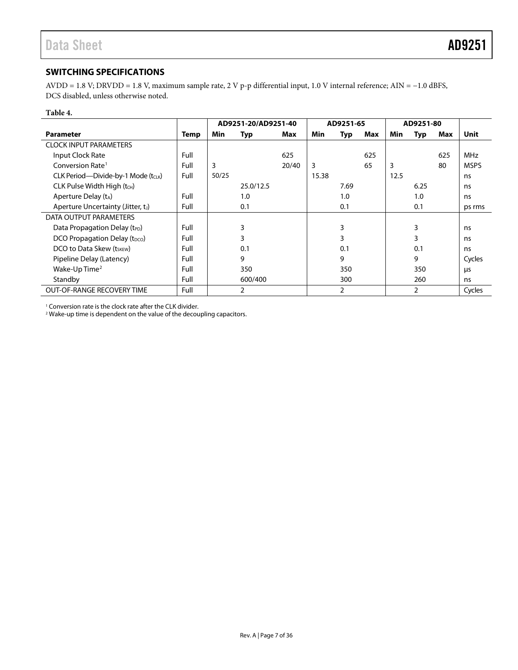# <span id="page-6-0"></span>**SWITCHING SPECIFICATIONS**

AVDD = 1.8 V; DRVDD = 1.8 V, maximum sample rate, 2 V p-p differential input, 1.0 V internal reference; AIN = −1.0 dBFS, DCS disabled, unless otherwise noted.

#### **Table 4.**

|                                           |      | AD9251-20/AD9251-40 |            | AD9251-65 |       |      | AD9251-80 |      |                |     |             |
|-------------------------------------------|------|---------------------|------------|-----------|-------|------|-----------|------|----------------|-----|-------------|
| <b>Parameter</b>                          | Temp | Min                 | <b>Typ</b> | Max       | Min   | Typ  | Max       | Min  | <b>Typ</b>     | Max | <b>Unit</b> |
| <b>CLOCK INPUT PARAMETERS</b>             |      |                     |            |           |       |      |           |      |                |     |             |
| Input Clock Rate                          | Full |                     |            | 625       |       |      | 625       |      |                | 625 | <b>MHz</b>  |
| Conversion Rate <sup>1</sup>              | Full | 3                   |            | 20/40     | 3     |      | 65        | 3    |                | 80  | <b>MSPS</b> |
| CLK Period-Divide-by-1 Mode (tcLK)        | Full | 50/25               |            |           | 15.38 |      |           | 12.5 |                |     | ns          |
| CLK Pulse Width High (tcH)                |      |                     | 25.0/12.5  |           |       | 7.69 |           |      | 6.25           |     | ns          |
| Aperture Delay $(t_A)$                    | Full |                     | 1.0        |           |       | 1.0  |           |      | 1.0            |     | ns          |
| Aperture Uncertainty (Jitter, tJ)         | Full |                     | 0.1        |           |       | 0.1  |           |      | 0.1            |     | ps rms      |
| DATA OUTPUT PARAMETERS                    |      |                     |            |           |       |      |           |      |                |     |             |
| Data Propagation Delay (t <sub>PD</sub> ) | Full |                     | 3          |           |       | 3    |           |      | 3              |     | ns          |
| DCO Propagation Delay (t <sub>DCO</sub> ) | Full |                     | 3          |           |       | 3    |           |      | 3              |     | ns          |
| DCO to Data Skew (tskew)                  | Full |                     | 0.1        |           |       | 0.1  |           |      | 0.1            |     | ns          |
| Pipeline Delay (Latency)                  | Full |                     | 9          |           |       | 9    |           |      | 9              |     | Cycles      |
| Wake-Up Time <sup>2</sup>                 | Full |                     | 350        |           |       | 350  |           |      | 350            |     | μs          |
| Standby                                   | Full |                     | 600/400    |           |       | 300  |           |      | 260            |     | ns          |
| <b>OUT-OF-RANGE RECOVERY TIME</b>         | Full |                     | 2          |           |       | 2    |           |      | $\overline{2}$ |     | Cycles      |

<sup>1</sup> Conversion rate is the clock rate after the CLK divider.

<sup>2</sup> Wake-up time is dependent on the value of the decoupling capacitors.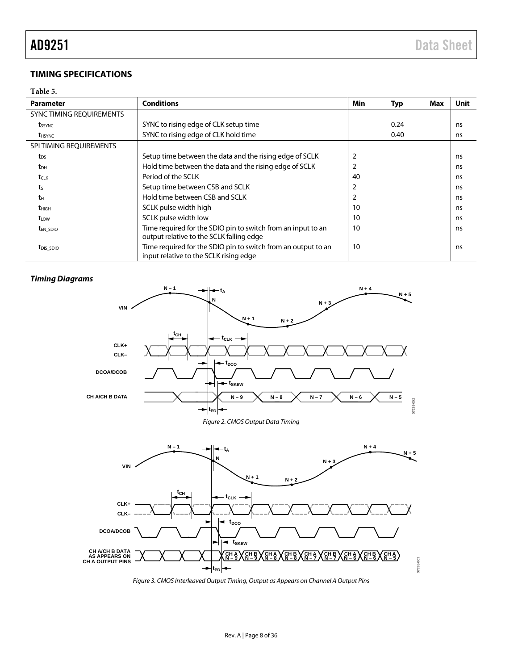# <span id="page-7-0"></span>**TIMING SPECIFICATIONS**

## <span id="page-7-1"></span>**Table 5.**

| <b>Parameter</b>          | <b>Conditions</b>                                                                                        | Min            | Typ  | Max | Unit |
|---------------------------|----------------------------------------------------------------------------------------------------------|----------------|------|-----|------|
| SYNC TIMING REQUIREMENTS  |                                                                                                          |                |      |     |      |
| tssync                    | SYNC to rising edge of CLK setup time                                                                    |                | 0.24 |     | ns   |
| <b>t</b> <sub>HSYNC</sub> | SYNC to rising edge of CLK hold time                                                                     |                | 0.40 |     | ns   |
| SPI TIMING REQUIREMENTS   |                                                                                                          |                |      |     |      |
| t <sub>DS</sub>           | Setup time between the data and the rising edge of SCLK                                                  | $\overline{2}$ |      |     | ns   |
| t <sub>DH</sub>           | Hold time between the data and the rising edge of SCLK                                                   | 2              |      |     | ns   |
| tclk                      | Period of the SCLK                                                                                       | 40             |      |     | ns   |
| ts                        | Setup time between CSB and SCLK                                                                          |                |      |     | ns   |
| tн                        | Hold time between CSB and SCLK                                                                           | 2              |      |     | ns   |
| t <sub>HIGH</sub>         | SCLK pulse width high                                                                                    | 10             |      |     | ns   |
| t <sub>LOW</sub>          | SCLK pulse width low                                                                                     | 10             |      |     | ns   |
| <b>t</b> EN SDIO          | Time required for the SDIO pin to switch from an input to an<br>output relative to the SCLK falling edge | 10             |      |     | ns   |
| t <sub>DIS</sub> SDIO     | Time required for the SDIO pin to switch from an output to an<br>input relative to the SCLK rising edge  | 10             |      |     | ns   |

## *Timing Diagrams*

<span id="page-7-2"></span>

<span id="page-7-3"></span>*Figure 3. CMOS Interleaved Output Timing, Output as Appears on Channel A Output Pins*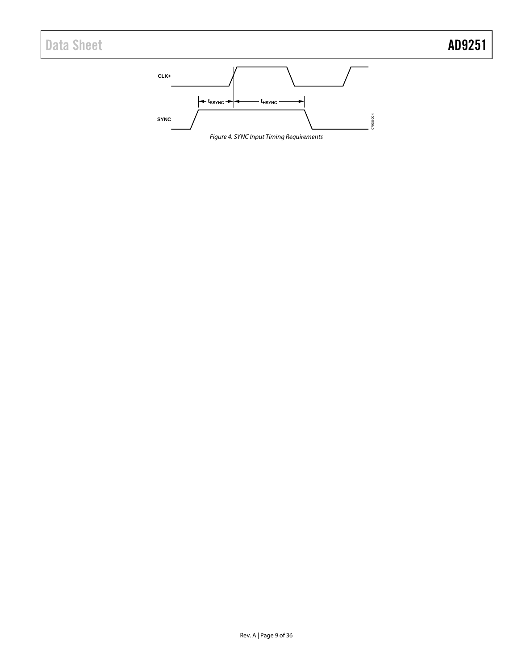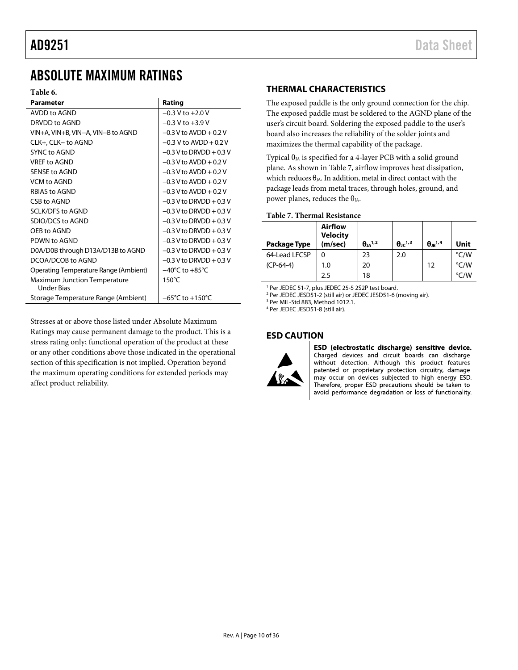# <span id="page-9-0"></span>ABSOLUTE MAXIMUM RATINGS

#### **Table 6.**

| Parameter                                         | Rating                              |
|---------------------------------------------------|-------------------------------------|
| AVDD to AGND                                      | $-0.3$ V to $+2.0$ V                |
| DRVDD to AGND                                     | $-0.3$ V to $+3.9$ V                |
| VIN+A, VIN+B, VIN-A, VIN-B to AGND                | $-0.3$ V to AVDD + 0.2 V            |
| CLK+, CLK- to AGND                                | $-0.3$ V to AVDD + 0.2 V            |
| <b>SYNC to AGND</b>                               | $-0.3$ V to DRVDD + 0.3 V           |
| VRFF to AGND                                      | $-0.3$ V to AVDD + 0.2 V            |
| <b>SENSE to AGND</b>                              | $-0.3$ V to AVDD + 0.2 V            |
| VCM to AGND                                       | $-0.3$ V to AVDD + 0.2 V            |
| <b>RBIAS to AGND</b>                              | $-0.3$ V to AVDD $+0.2$ V           |
| CSB to AGND                                       | $-0.3$ V to DRVDD + 0.3 V           |
| <b>SCLK/DFS to AGND</b>                           | $-0.3$ V to DRVDD + 0.3 V           |
| SDIO/DCS to AGND                                  | $-0.3$ V to DRVDD $+0.3$ V          |
| OFB to AGND                                       | $-0.3$ V to DRVDD $+0.3$ V          |
| PDWN to AGND                                      | $-0.3$ V to DRVDD $+0.3$ V          |
| D0A/D0B through D13A/D13B to AGND                 | $-0.3$ V to DRVDD $+0.3$ V          |
| DCOA/DCOB to AGND                                 | $-0.3$ V to DRVDD $+0.3$ V          |
| Operating Temperature Range (Ambient)             | $-40^{\circ}$ C to $+85^{\circ}$ C  |
| <b>Maximum Junction Temperature</b><br>Under Bias | 150°C                               |
| Storage Temperature Range (Ambient)               | $-65^{\circ}$ C to $+150^{\circ}$ C |

Stresses at or above those listed under Absolute Maximum Ratings may cause permanent damage to the product. This is a stress rating only; functional operation of the product at these or any other conditions above those indicated in the operational section of this specification is not implied. Operation beyond the maximum operating conditions for extended periods may affect product reliability.

## <span id="page-9-1"></span>**THERMAL CHARACTERISTICS**

The exposed paddle is the only ground connection for the chip. The exposed paddle must be soldered to the AGND plane of the user's circuit board. Soldering the exposed paddle to the user's board also increases the reliability of the solder joints and maximizes the thermal capability of the package.

Typical  $\theta_{JA}$  is specified for a 4-layer PCB with a solid ground plane. As shown in [Table 7,](#page-9-3) airflow improves heat dissipation, which reduces  $\theta_{IA}$ . In addition, metal in direct contact with the package leads from metal traces, through holes, ground, and power planes, reduces the  $\theta_{JA}$ .

#### <span id="page-9-3"></span>**Table 7. Thermal Resistance**

| Package Type  | <b>Airflow</b><br><b>Velocity</b><br>(m/sec) | $\theta$ JA <sup>1,2</sup> | $\theta$ <sub>IC</sub> <sup>1,3</sup> | $\theta$ JB <sup>1,4</sup> | Unit |
|---------------|----------------------------------------------|----------------------------|---------------------------------------|----------------------------|------|
| 64-Lead LFCSP | 0                                            | 23                         | 2.0                                   |                            | °C/W |
| $(CP-64-4)$   | 1.0                                          | 20                         |                                       | 12                         | °C/W |
|               | 2.5                                          | 18                         |                                       |                            | °C/W |

<sup>1</sup> Per JEDEC 51-7, plus JEDEC 25-5 2S2P test board.

<sup>2</sup> Per JEDEC JESD51-2 (still air) or JEDEC JESD51-6 (moving air).

<sup>3</sup> Per MIL-Std 883, Method 1012.1.

<sup>4</sup> Per JEDEC JESD51-8 (still air).

#### <span id="page-9-2"></span>**ESD CAUTION**



ESD (electrostatic discharge) sensitive device. Charged devices and circuit boards can discharge without detection. Although this product features patented or proprietary protection circuitry, damage may occur on devices subjected to high energy ESD. Therefore, proper ESD precautions should be taken to avoid performance degradation or loss of functionality.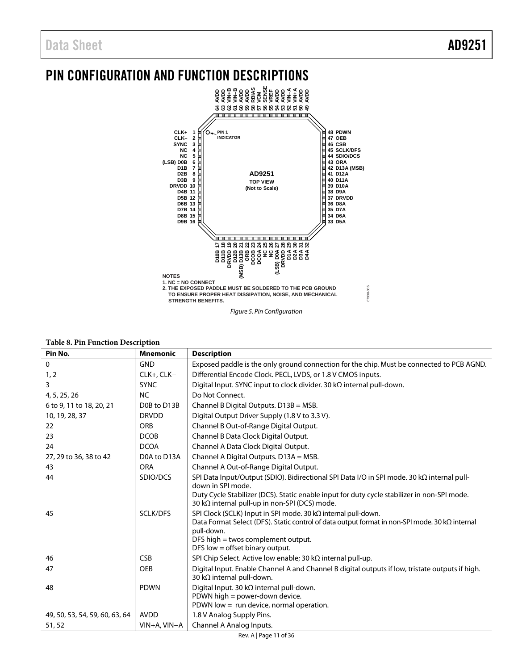# <span id="page-10-0"></span>PIN CONFIGURATION AND FUNCTION DESCRIPTIONS



|  |  |  |  | <b>Table 8. Pin Function Description</b> |
|--|--|--|--|------------------------------------------|
|--|--|--|--|------------------------------------------|

| Pin No.                        | <b>Mnemonic</b> | <b>Description</b>                                                                                               |  |
|--------------------------------|-----------------|------------------------------------------------------------------------------------------------------------------|--|
| $\mathbf 0$                    | <b>GND</b>      | Exposed paddle is the only ground connection for the chip. Must be connected to PCB AGND.                        |  |
| 1, 2                           | CLK+, CLK-      | Differential Encode Clock. PECL, LVDS, or 1.8 V CMOS inputs.                                                     |  |
| 3                              | <b>SYNC</b>     | Digital Input. SYNC input to clock divider. 30 $k\Omega$ internal pull-down.                                     |  |
| 4, 5, 25, 26                   | <b>NC</b>       | Do Not Connect.                                                                                                  |  |
| 6 to 9, 11 to 18, 20, 21       | D0B to D13B     | Channel B Digital Outputs. D13B = MSB.                                                                           |  |
| 10, 19, 28, 37                 | <b>DRVDD</b>    | Digital Output Driver Supply (1.8 V to 3.3 V).                                                                   |  |
| 22                             | <b>ORB</b>      | Channel B Out-of-Range Digital Output.                                                                           |  |
| 23                             | <b>DCOB</b>     | Channel B Data Clock Digital Output.                                                                             |  |
| 24                             | <b>DCOA</b>     | Channel A Data Clock Digital Output.                                                                             |  |
| 27, 29 to 36, 38 to 42         | D0A to D13A     | Channel A Digital Outputs. D13A = MSB.                                                                           |  |
| 43                             | <b>ORA</b>      | Channel A Out-of-Range Digital Output.                                                                           |  |
| 44                             | SDIO/DCS        | SPI Data Input/Output (SDIO). Bidirectional SPI Data I/O in SPI mode. 30 kΩ internal pull-                       |  |
|                                |                 | down in SPI mode.<br>Duty Cycle Stabilizer (DCS). Static enable input for duty cycle stabilizer in non-SPI mode. |  |
|                                |                 | 30 kΩ internal pull-up in non-SPI (DCS) mode.                                                                    |  |
| 45                             | SCLK/DFS        | SPI Clock (SCLK) Input in SPI mode. 30 kΩ internal pull-down.                                                    |  |
|                                |                 | Data Format Select (DFS). Static control of data output format in non-SPI mode. 30 kΩ internal                   |  |
|                                |                 | pull-down.<br>DFS high = twos complement output.                                                                 |  |
|                                |                 | DFS low $=$ offset binary output.                                                                                |  |
| 46                             | <b>CSB</b>      | SPI Chip Select. Active low enable; 30 kΩ internal pull-up.                                                      |  |
| 47                             | <b>OEB</b>      | Digital Input. Enable Channel A and Channel B digital outputs if low, tristate outputs if high.                  |  |
|                                |                 | 30 kΩ internal pull-down.                                                                                        |  |
| 48                             | <b>PDWN</b>     | Digital Input. 30 k $\Omega$ internal pull-down.                                                                 |  |
|                                |                 | PDWN high = power-down device.                                                                                   |  |
|                                |                 | PDWN low $=$ run device, normal operation.                                                                       |  |
| 49, 50, 53, 54, 59, 60, 63, 64 | <b>AVDD</b>     | 1.8 V Analog Supply Pins.                                                                                        |  |
| 51,52                          | VIN+A, VIN-A    | Channel A Analog Inputs.                                                                                         |  |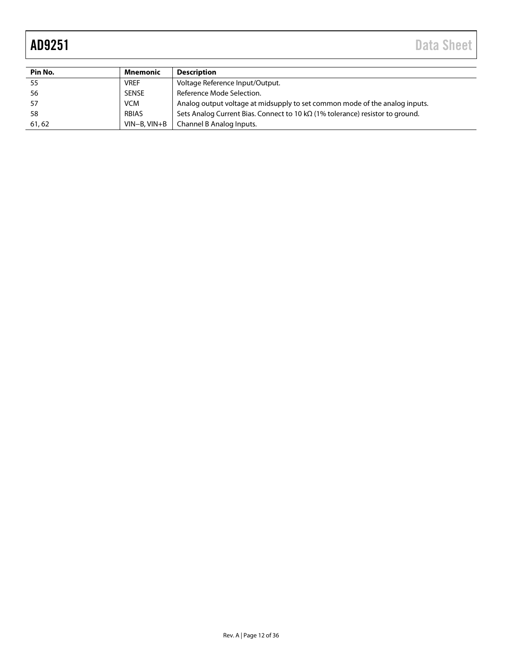| Pin No. | Mnemonic       | <b>Description</b>                                                                    |
|---------|----------------|---------------------------------------------------------------------------------------|
| 55      | <b>VREF</b>    | Voltage Reference Input/Output.                                                       |
| 56      | <b>SENSE</b>   | Reference Mode Selection.                                                             |
| 57      | <b>VCM</b>     | Analog output voltage at midsupply to set common mode of the analog inputs.           |
| 58      | RBIAS          | Sets Analog Current Bias. Connect to 10 k $\Omega$ (1% tolerance) resistor to ground. |
| 61,62   | $VIN-B. VIN+B$ | Channel B Analog Inputs.                                                              |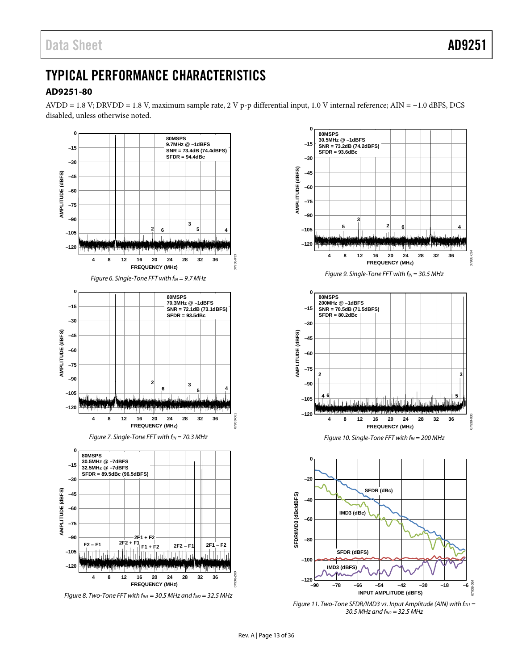# <span id="page-12-0"></span>TYPICAL PERFORMANCE CHARACTERISTICS

# <span id="page-12-1"></span>**AD9251-80**



*Figure 8. Two-Tone FFT with f<sub>IN1</sub>* = 30.5 MHz and  $f_{1N2}$  = 32.5 MHz





*Figure 11. Two-Tone SFDR/IMD3 vs. Input Amplitude (AIN) with f<sub>IN1</sub>* = *30.5 MHz and fIN2 = 32.5 MHz*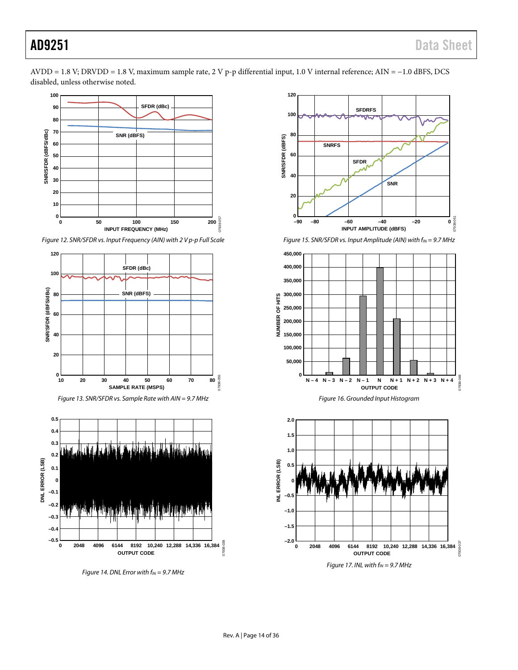

*Figure 12. SNR/SFDR vs. Input Frequency (AIN) with 2 V p-p Full Scale* 





*Figure 14. DNL Error with f<sub>IN</sub>* = 9.7 MHz



*Figure 15. SNR/SFDR vs. Input Amplitude (AIN) with f<sub>IN</sub> = 9.7 MHz* 



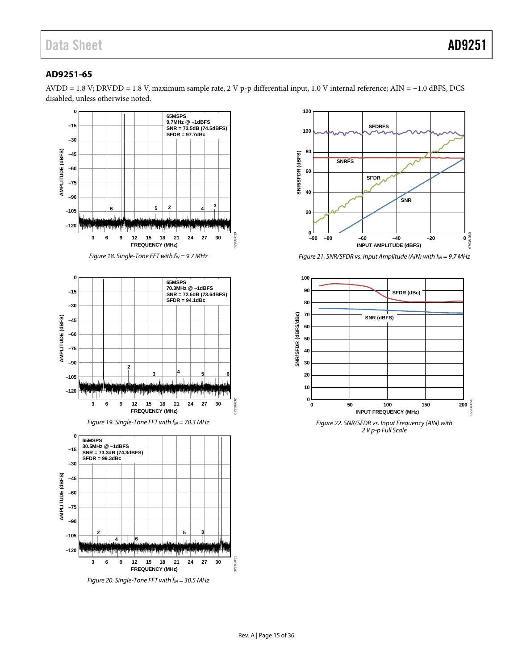# <span id="page-14-0"></span>**AD9251-65**





*Figure 21. SNR/SFDR vs. Input Amplitude (AIN) with f<sub>IN</sub> = 9.7 MHz* 



*2 V p-p Full Scale*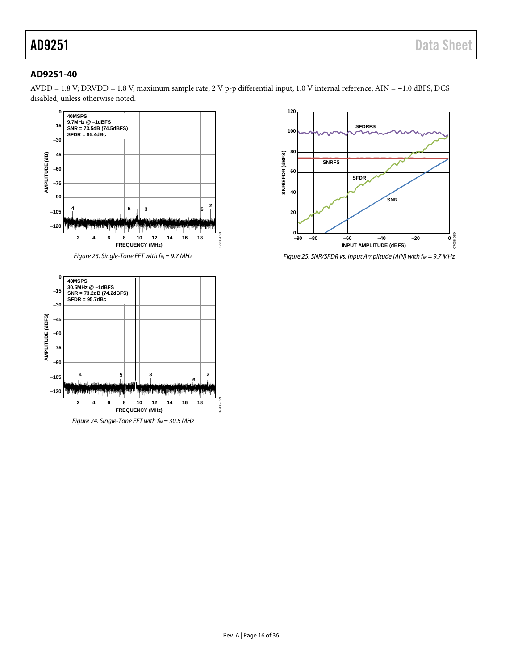# <span id="page-15-0"></span>**AD9251-40**



*Figure 23. Single-Tone FFT with f<sub>IN</sub>* = 9.7 MHz



*Figure 24. Single-Tone FFT with f<sub>N</sub>* = 30.5 MHz



*Figure 25. SNR/SFDR vs. Input Amplitude (AIN) with fIN = 9.7 MHz*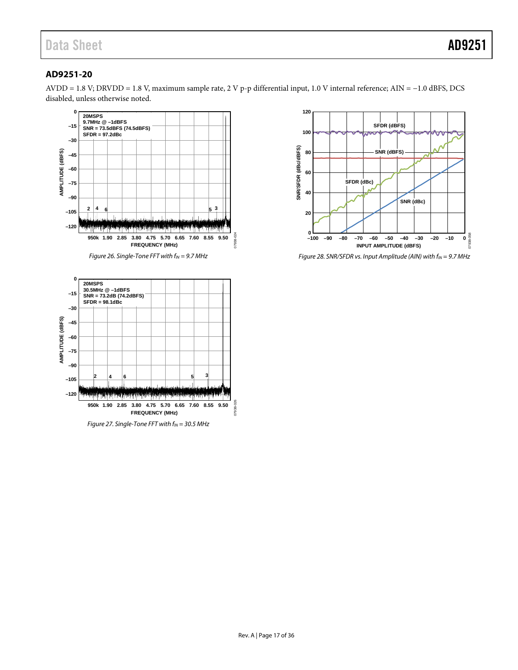# <span id="page-16-0"></span>**AD9251-20**





*Figure 27. Single-Tone FFT with f<sub>IN</sub> = 30.5 MHz* 



*Figure 28. SNR/SFDR vs. Input Amplitude (AIN) with f<sub>IN</sub> = 9.7 MHz*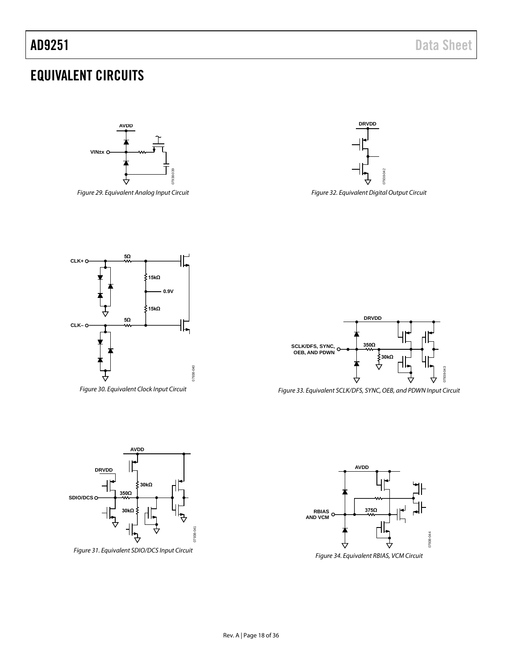# <span id="page-17-0"></span>EQUIVALENT CIRCUITS



*Figure 29. Equivalent Analog Input Circuit*



*Figure 32. Equivalent Digital Output Circuit*





**AVDD**



*Figure 33. Equivalent SCLK/DFS, SYNC, OEB, and PDWN Input Circuit*







*Figure 31. Equivalent SDIO/DCS Input Circuit*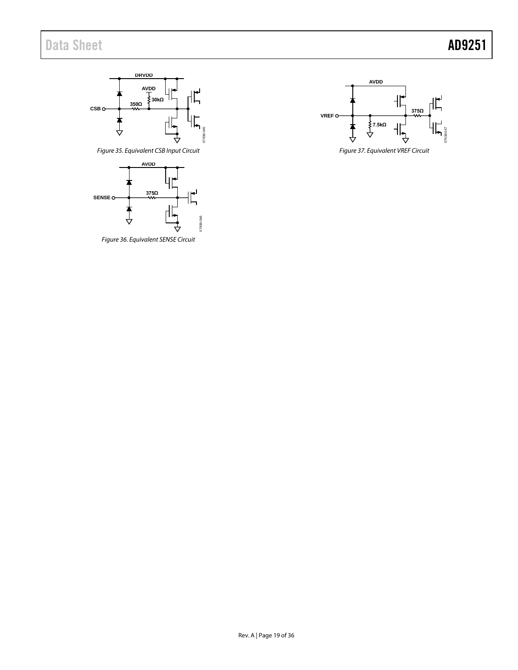



*Figure 36. Equivalent SENSE Circuit*

<span id="page-18-0"></span>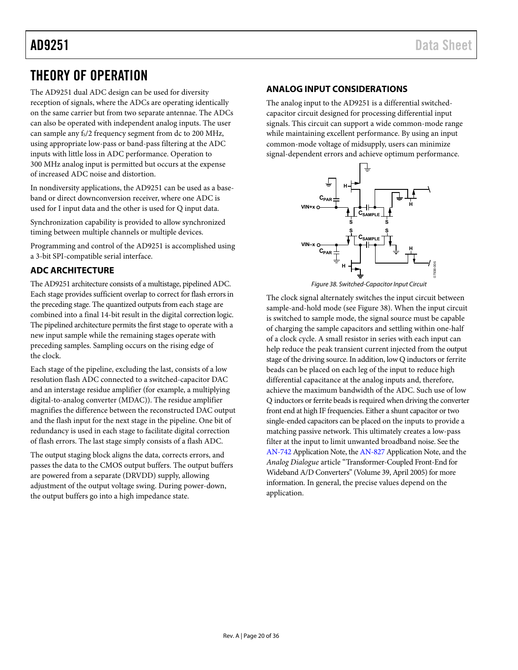# <span id="page-19-0"></span>THEORY OF OPERATION

The AD9251 dual ADC design can be used for diversity reception of signals, where the ADCs are operating identically on the same carrier but from two separate antennae. The ADCs can also be operated with independent analog inputs. The user can sample any fs/2 frequency segment from dc to 200 MHz, using appropriate low-pass or band-pass filtering at the ADC inputs with little loss in ADC performance. Operation to 300 MHz analog input is permitted but occurs at the expense of increased ADC noise and distortion.

In nondiversity applications, the AD9251 can be used as a baseband or direct downconversion receiver, where one ADC is used for I input data and the other is used for Q input data.

Synchronization capability is provided to allow synchronized timing between multiple channels or multiple devices.

Programming and control of the AD9251 is accomplished using a 3-bit SPI-compatible serial interface.

# <span id="page-19-1"></span>**ADC ARCHITECTURE**

The AD9251 architecture consists of a multistage, pipelined ADC. Each stage provides sufficient overlap to correct for flash errors in the preceding stage. The quantized outputs from each stage are combined into a final 14-bit result in the digital correction logic. The pipelined architecture permits the first stage to operate with a new input sample while the remaining stages operate with preceding samples. Sampling occurs on the rising edge of the clock.

Each stage of the pipeline, excluding the last, consists of a low resolution flash ADC connected to a switched-capacitor DAC and an interstage residue amplifier (for example, a multiplying digital-to-analog converter (MDAC)). The residue amplifier magnifies the difference between the reconstructed DAC output and the flash input for the next stage in the pipeline. One bit of redundancy is used in each stage to facilitate digital correction of flash errors. The last stage simply consists of a flash ADC.

The output staging block aligns the data, corrects errors, and passes the data to the CMOS output buffers. The output buffers are powered from a separate (DRVDD) supply, allowing adjustment of the output voltage swing. During power-down, the output buffers go into a high impedance state.

## <span id="page-19-2"></span>**ANALOG INPUT CONSIDERATIONS**

The analog input to the AD9251 is a differential switchedcapacitor circuit designed for processing differential input signals. This circuit can support a wide common-mode range while maintaining excellent performance. By using an input common-mode voltage of midsupply, users can minimize signal-dependent errors and achieve optimum performance.



Figure 38. Switched-Capacitor Input Circuit

<span id="page-19-3"></span>The clock signal alternately switches the input circuit between sample-and-hold mode (see [Figure 38\)](#page-19-3). When the input circuit is switched to sample mode, the signal source must be capable of charging the sample capacitors and settling within one-half of a clock cycle. A small resistor in series with each input can help reduce the peak transient current injected from the output stage of the driving source. In addition, low Q inductors or ferrite beads can be placed on each leg of the input to reduce high differential capacitance at the analog inputs and, therefore, achieve the maximum bandwidth of the ADC. Such use of low Q inductors or ferrite beads is required when driving the converter front end at high IF frequencies. Either a shunt capacitor or two single-ended capacitors can be placed on the inputs to provide a matching passive network. This ultimately creates a low-pass filter at the input to limit unwanted broadband noise. See the [AN-742 A](http://www.analog.com/an-742)pplication Note, th[e AN-827 A](http://www.analog.com/an-827)pplication Note, and the *Analog Dialogue* article ["Transformer-Coupled Front-End for](http://www.analog.com/library/analogDialogue/archives/39-04/transformer.html)  [Wideband A/D Converters"](http://www.analog.com/library/analogDialogue/archives/39-04/transformer.html) (Volume 39, April 2005) for more information. In general, the precise values depend on the application.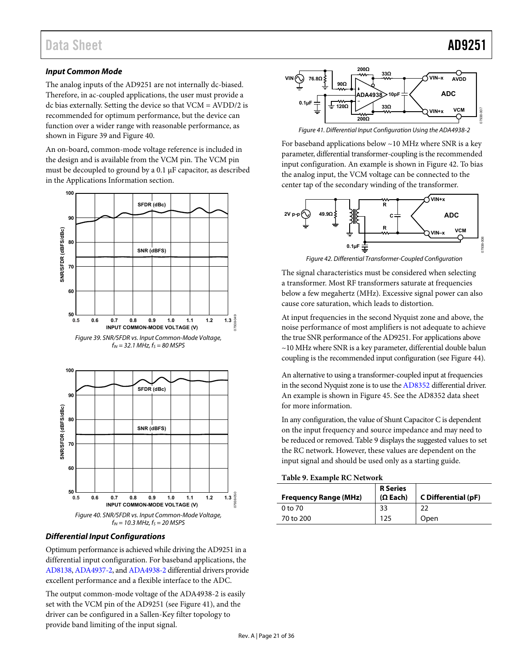## **Input Common Mode**

The analog inputs of the AD9251 are not internally dc-biased. Therefore, in ac-coupled applications, the user must provide a dc bias externally. Setting the device so that VCM = AVDD/2 is recommended for optimum performance, but the device can function over a wider range with reasonable performance, as shown in [Figure 39 a](#page-20-0)n[d Figure 40.](#page-20-1) 

An on-board, common-mode voltage reference is included in the design and is available from the VCM pin. The VCM pin must be decoupled to ground by a 0.1 μF capacitor, as described in the [Applications Information s](#page-34-0)ection.



<span id="page-20-0"></span>

### <span id="page-20-1"></span>**Differential Input Configurations**

Optimum performance is achieved while driving the AD9251 in a differential input configuration. For baseband applications, the [AD8138,](http://www.analog.com/AD8138) [ADA4937-2,](http://www.analog.com/ADA4937-2) an[d ADA4938-2 d](http://www.analog.com/ADA4938-2)ifferential drivers provide excellent performance and a flexible interface to the ADC.

The output common-mode voltage of the [ADA4938-](http://www.analog.com/AD8138)2 is easily set with the VCM pin of the AD9251 (see [Figure 41\)](#page-20-2), and the driver can be configured in a Sallen-Key filter topology to provide band limiting of the input signal.



Figure 41. Differential Input Configuration Using the ADA4938-2

<span id="page-20-2"></span>For baseband applications below ~10 MHz where SNR is a key parameter, differential transformer-coupling is the recommended input configuration. An example is shown i[n Figure 42.](#page-20-3) To bias the analog input, the VCM voltage can be connected to the center tap of the secondary winding of the transformer.



Figure 42. Differential Transformer-Coupled Configuration

<span id="page-20-3"></span>The signal characteristics must be considered when selecting a transformer. Most RF transformers saturate at frequencies below a few megahertz (MHz). Excessive signal power can also cause core saturation, which leads to distortion.

At input frequencies in the second Nyquist zone and above, the noise performance of most amplifiers is not adequate to achieve the true SNR performance of the AD9251. For applications above ~10 MHz where SNR is a key parameter, differential double balun coupling is the recommended input configuration (se[e Figure 44\)](#page-21-0).

An alternative to using a transformer-coupled input at frequencies in the second Nyquist zone is to use th[e AD8352 d](http://www.analog.com/AD8352)ifferential driver. An example is shown i[n Figure 45.](#page-21-1) See th[e AD8352 d](http://www.analog.com/AD8352)ata sheet for more information.

In any configuration, the value of Shunt Capacitor C is dependent on the input frequency and source impedance and may need to be reduced or removed[. Table 9](#page-20-4) displays the suggested values to set the RC network. However, these values are dependent on the input signal and should be used only as a starting guide.

<span id="page-20-4"></span>**Table 9. Example RC Network** 

| <b>Frequency Range (MHz)</b> | <b>R</b> Series<br>$(\Omega$ Each) | C Differential (pF) |
|------------------------------|------------------------------------|---------------------|
| 0 to 70                      | 33                                 | 22                  |
| 70 to 200                    | 125                                | Open                |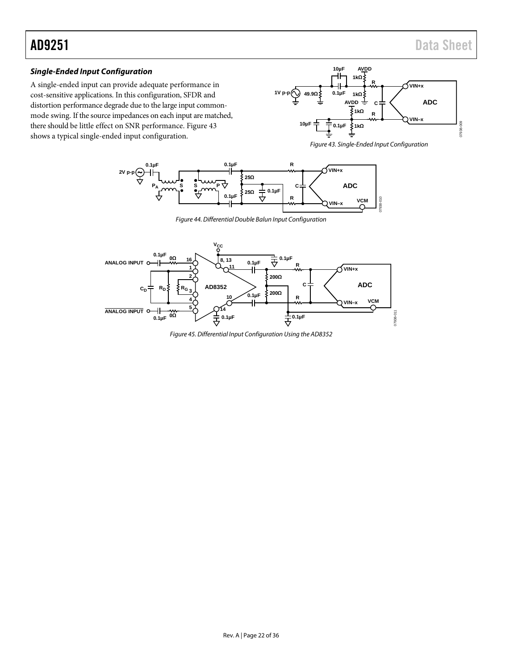# *Single-Ended Input Configuration*

A single-ended input can provide adequate performance in cost-sensitive applications. In this configuration, SFDR and distortion performance degrade due to the large input commonmode swing. If the source impedances on each input are matched, there should be little effect on SNR performance[. Figure 43](#page-21-2) shows a typical single-ended input configuration.



<span id="page-21-2"></span>



*Figure 44. Differential Double Balun Input Configuration* 

<span id="page-21-1"></span><span id="page-21-0"></span>

*Figure 45. Differential Input Configuration Using the AD8352*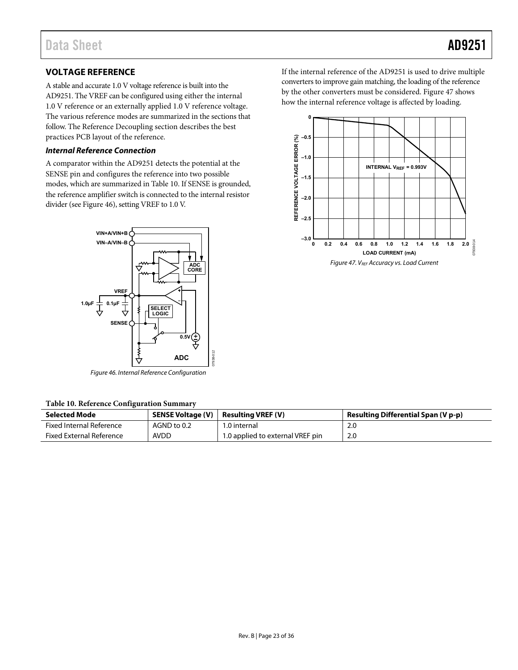# <span id="page-22-0"></span>**VOLTAGE REFERENCE**

A stable and accurate 1.0 V voltage reference is built into the AD9251. The VREF can be configured using either the internal 1.0 V reference or an externally applied 1.0 V reference voltage. The various reference modes are summarized in the sections that follow. Th[e Reference Decoupling s](#page-34-2)ection describes the best practices PCB layout of the reference.

#### **Internal Reference Connection**

A comparator within the AD9251 detects the potential at the SENSE pin and configures the reference into two possible modes, which are summarized in [Table 10.](#page-22-1) If SENSE is grounded, the reference amplifier switch is connected to the internal resistor divider (se[e Figure 46\)](#page-22-2), setting VREF to 1.0 V.



Figure 46. Internal Reference Configuration

#### <span id="page-22-2"></span><span id="page-22-1"></span>**Table 10. Reference Configuration Summary**

| <b>Selected Mode</b>            | SENSE Voltage (V) | <b>Resulting VREF (V)</b>        | <b>Resulting Differential Span (V p-p)</b> |
|---------------------------------|-------------------|----------------------------------|--------------------------------------------|
| <b>Fixed Internal Reference</b> | AGND to 0.2       | 1.0 internal                     | 2.0                                        |
| <b>Fixed External Reference</b> | <b>AVDD</b>       | 1.0 applied to external VREF pin | 2.0                                        |

If the internal reference of the AD9251 is used to drive multiple converters to improve gain matching, the loading of the reference by the other converters must be considered[. Figure 47](#page-22-3) shows how the internal reference voltage is affected by loading.

<span id="page-22-3"></span>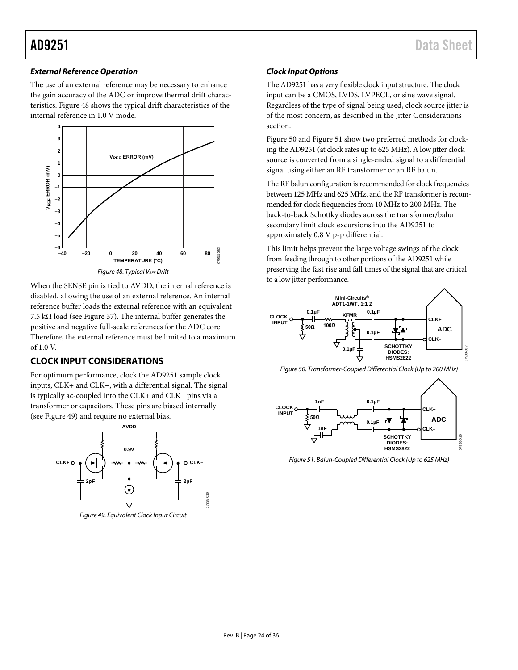## *External Reference Operation*

The use of an external reference may be necessary to enhance the gain accuracy of the ADC or improve thermal drift characteristics[. Figure 48](#page-23-1) shows the typical drift characteristics of the internal reference in 1.0 V mode.



<span id="page-23-1"></span>When the SENSE pin is tied to AVDD, the internal reference is disabled, allowing the use of an external reference. An internal reference buffer loads the external reference with an equivalent 7.5 kΩ load (see [Figure 37\)](#page-18-0). The internal buffer generates the positive and negative full-scale references for the ADC core. Therefore, the external reference must be limited to a maximum of  $1.0 V$ 

# <span id="page-23-0"></span>**CLOCK INPUT CONSIDERATIONS**

For optimum performance, clock the AD9251 sample clock inputs, CLK+ and CLK−, with a differential signal. The signal is typically ac-coupled into the CLK+ and CLK− pins via a transformer or capacitors. These pins are biased internally (see [Figure 49\)](#page-23-2) and require no external bias.

<span id="page-23-2"></span>

# *Clock Input Options*

The AD9251 has a very flexible clock input structure. The clock input can be a CMOS, LVDS, LVPECL, or sine wave signal. Regardless of the type of signal being used, clock source jitter is of the most concern, as described in the [Jitter Considerations](#page-25-2) section.

[Figure 50](#page-23-3) an[d Figure 51](#page-23-4) show two preferred methods for clocking the AD9251 (at clock rates up to 625 MHz). A low jitter clock source is converted from a single-ended signal to a differential signal using either an RF transformer or an RF balun.

The RF balun configuration is recommended for clock frequencies between 125 MHz and 625 MHz, and the RF transformer is recommended for clock frequencies from 10 MHz to 200 MHz. The back-to-back Schottky diodes across the transformer/balun secondary limit clock excursions into the AD9251 to approximately 0.8 V p-p differential.

This limit helps prevent the large voltage swings of the clock from feeding through to other portions of the AD9251 while preserving the fast rise and fall times of the signal that are critical to a low jitter performance.



<span id="page-23-3"></span>*Figure 50. Transformer-Coupled Differential Clock (Up to 200 MHz)* 



<span id="page-23-4"></span>*Figure 51. Balun-Coupled Differential Clock (Up to 625 MHz)*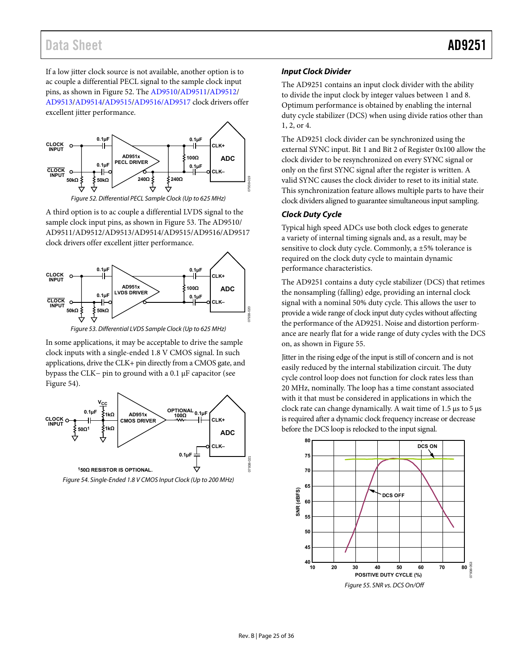# Data Sheet **AD9251**

If a low jitter clock source is not available, another option is to ac couple a differential PECL signal to the sample clock input pins, as shown in [Figure 52.](#page-24-0) The [AD9510/](http://www.analog.com/AD9510)[AD9511/](http://www.analog.com/AD9511)[AD9512/](http://www.analog.com/AD9512) [AD9513/](http://www.analog.com/AD9513)[AD9514/](http://www.analog.com/AD9514)[AD9515/](http://www.analog.com/AD9515)[AD9516](http://www.analog.com/AD9516)[/AD9517 c](http://www.analog.com/AD9517)lock drivers offer excellent jitter performance.



Figure 52. Differential PECL Sample Clock (Up to 625 MHz)

<span id="page-24-0"></span>A third option is to ac couple a differential LVDS signal to the sample clock input pins, as shown i[n Figure 53.](#page-24-1) Th[e AD9510/](http://www.analog.com/AD9510) [AD9511/](http://www.analog.com/AD9511)[AD9512/](http://www.analog.com/AD9512)[AD9513/](http://www.analog.com/AD9513)[AD9514](http://www.analog.com/AD9514)[/AD9515](http://www.analog.com/AD9515)[/AD9516](http://www.analog.com/AD9516)[/AD9517](http://www.analog.com/AD9517)  clock drivers offer excellent jitter performance.



Figure 53. Differential LVDS Sample Clock (Up to 625 MHz)

<span id="page-24-1"></span>In some applications, it may be acceptable to drive the sample clock inputs with a single-ended 1.8 V CMOS signal. In such applications, drive the CLK+ pin directly from a CMOS gate, and bypass the CLK− pin to ground with a 0.1 μF capacitor (see [Figure 54\)](#page-24-2).



<span id="page-24-2"></span>Figure 54. Single-Ended 1.8 V CMOS Input Clock (Up to 200 MHz)

### **Input Clock Divider**

The AD9251 contains an input clock divider with the ability to divide the input clock by integer values between 1 and 8. Optimum performance is obtained by enabling the internal duty cycle stabilizer (DCS) when using divide ratios other than 1, 2, or 4.

The AD9251 clock divider can be synchronized using the external SYNC input. Bit 1 and Bit 2 of Register 0x100 allow the clock divider to be resynchronized on every SYNC signal or only on the first SYNC signal after the register is written. A valid SYNC causes the clock divider to reset to its initial state. This synchronization feature allows multiple parts to have their clock dividers aligned to guarantee simultaneous input sampling.

## **Clock Duty Cycle**

Typical high speed ADCs use both clock edges to generate a variety of internal timing signals and, as a result, may be sensitive to clock duty cycle. Commonly, a ±5% tolerance is required on the clock duty cycle to maintain dynamic performance characteristics.

The AD9251 contains a duty cycle stabilizer (DCS) that retimes the nonsampling (falling) edge, providing an internal clock signal with a nominal 50% duty cycle. This allows the user to provide a wide range of clock input duty cycles without affecting the performance of the AD9251. Noise and distortion performance are nearly flat for a wide range of duty cycles with the DCS on, as shown in [Figure 55.](#page-24-3) 

Jitter in the rising edge of the input is still of concern and is not easily reduced by the internal stabilization circuit. The duty cycle control loop does not function for clock rates less than 20 MHz, nominally. The loop has a time constant associated with it that must be considered in applications in which the clock rate can change dynamically. A wait time of 1.5 μs to 5 μs is required after a dynamic clock frequency increase or decrease before the DCS loop is relocked to the input signal.

<span id="page-24-3"></span>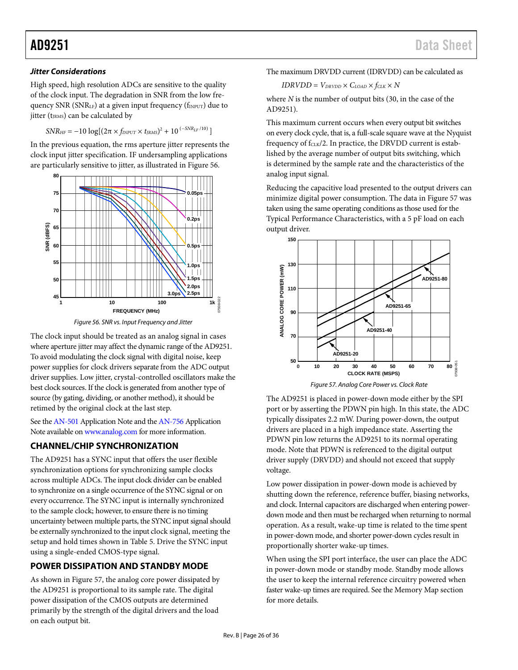## <span id="page-25-2"></span>*Jitter Considerations*

High speed, high resolution ADCs are sensitive to the quality of the clock input. The degradation in SNR from the low frequency SNR (SNR<sub>LF</sub>) at a given input frequency ( $f_{INPUT}$ ) due to jitter (t<sub>JRMS</sub>) can be calculated by

$$
SNR_{HF} = -10 \log[(2\pi \times f_{INPUT} \times t_{IRMS})^2 + 10^{(-SNR_{LF}/10)}]
$$

In the previous equation, the rms aperture jitter represents the clock input jitter specification. IF undersampling applications are particularly sensitive to jitter, as illustrated in [Figure 56.](#page-25-3)



*Figure 56. SNR vs. Input Frequency and Jitter* 

<span id="page-25-3"></span>The clock input should be treated as an analog signal in cases where aperture jitter may affect the dynamic range of the AD9251. To avoid modulating the clock signal with digital noise, keep power supplies for clock drivers separate from the ADC output driver supplies. Low jitter, crystal-controlled oscillators make the best clock sources. If the clock is generated from another type of source (by gating, dividing, or another method), it should be retimed by the original clock at the last step.

See th[e AN-501](http://www.analog.com/an-501) Application Note and th[e AN-756](http://www.analog.com/AN-756) Application Note available on [www.analog.com](http://www.analog.com/) for more information.

# <span id="page-25-0"></span>**CHANNEL/CHIP SYNCHRONIZATION**

The AD9251 has a SYNC input that offers the user flexible synchronization options for synchronizing sample clocks across multiple ADCs. The input clock divider can be enabled to synchronize on a single occurrence of the SYNC signal or on every occurrence. The SYNC input is internally synchronized to the sample clock; however, to ensure there is no timing uncertainty between multiple parts, the SYNC input signal should be externally synchronized to the input clock signal, meeting the setup and hold times shown in [Table 5.](#page-7-1) Drive the SYNC input using a single-ended CMOS-type signal.

# <span id="page-25-1"></span>**POWER DISSIPATION AND STANDBY MODE**

As shown in [Figure 57,](#page-25-4) the analog core power dissipated by the AD9251 is proportional to its sample rate. The digital power dissipation of the CMOS outputs are determined primarily by the strength of the digital drivers and the load on each output bit.

The maximum DRVDD current (IDRVDD) can be calculated as

$$
IDRVDD = V_{DRVDD} \times C_{LOAD} \times f_{CLK} \times N
$$

where *N* is the number of output bits (30, in the case of the AD9251).

This maximum current occurs when every output bit switches on every clock cycle, that is, a full-scale square wave at the Nyquist frequency of  $f_{CLK}/2$ . In practice, the DRVDD current is established by the average number of output bits switching, which is determined by the sample rate and the characteristics of the analog input signal.

Reducing the capacitive load presented to the output drivers can minimize digital power consumption. The data i[n Figure 57](#page-25-4) was taken using the same operating conditions as those used for the [Typical Performance Characteristics,](#page-12-0) with a 5 pF load on each output driver.



<span id="page-25-4"></span>The AD9251 is placed in power-down mode either by the SPI port or by asserting the PDWN pin high. In this state, the ADC typically dissipates 2.2 mW. During power-down, the output drivers are placed in a high impedance state. Asserting the PDWN pin low returns the AD9251 to its normal operating mode. Note that PDWN is referenced to the digital output driver supply (DRVDD) and should not exceed that supply voltage.

Low power dissipation in power-down mode is achieved by shutting down the reference, reference buffer, biasing networks, and clock. Internal capacitors are discharged when entering powerdown mode and then must be recharged when returning to normal operation. As a result, wake-up time is related to the time spent in power-down mode, and shorter power-down cycles result in proportionally shorter wake-up times.

When using the SPI port interface, the user can place the ADC in power-down mode or standby mode. Standby mode allows the user to keep the internal reference circuitry powered when faster wake-up times are required. See th[e Memory Map](#page-30-0) section for more details.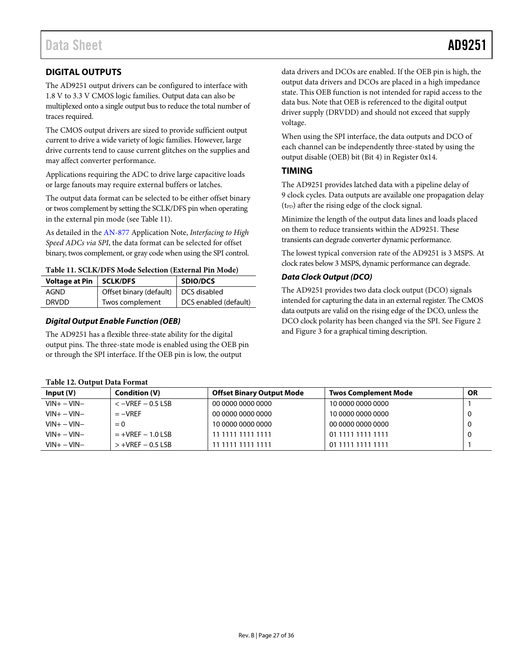# <span id="page-26-0"></span>**DIGITAL OUTPUTS**

The AD9251 output drivers can be configured to interface with 1.8 V to 3.3 V CMOS logic families. Output data can also be multiplexed onto a single output bus to reduce the total number of traces required.

The CMOS output drivers are sized to provide sufficient output current to drive a wide variety of logic families. However, large drive currents tend to cause current glitches on the supplies and may affect converter performance.

Applications requiring the ADC to drive large capacitive loads or large fanouts may require external buffers or latches.

The output data format can be selected to be either offset binary or twos complement by setting the SCLK/DFS pin when operating in the external pin mode (see [Table 11\)](#page-26-2).

As detailed in the [AN-877](http://www.analog.com/an-877) Application Note, *Interfacing to High Speed ADCs via SPI*, the data format can be selected for offset binary, twos complement, or gray code when using the SPI control.

#### <span id="page-26-2"></span>**Table 11. SCLK/DFS Mode Selection (External Pin Mode)**

| Voltage at Pin   SCLK/DFS |                                        | <b>SDIO/DCS</b>       |
|---------------------------|----------------------------------------|-----------------------|
| AGND                      | Offset binary (default)   DCS disabled |                       |
| <b>DRVDD</b>              | Twos complement                        | DCS enabled (default) |

#### *Digital Output Enable Function (OEB)*

The AD9251 has a flexible three-state ability for the digital output pins. The three-state mode is enabled using the OEB pin or through the SPI interface. If the OEB pin is low, the output

data drivers and DCOs are enabled. If the OEB pin is high, the output data drivers and DCOs are placed in a high impedance state. This OEB function is not intended for rapid access to the data bus. Note that OEB is referenced to the digital output driver supply (DRVDD) and should not exceed that supply voltage.

When using the SPI interface, the data outputs and DCO of each channel can be independently three-stated by using the output disable (OEB) bit (Bit 4) in Register 0x14.

### <span id="page-26-1"></span>**TIMING**

The AD9251 provides latched data with a pipeline delay of 9 clock cycles. Data outputs are available one propagation delay  $(t_{PD})$  after the rising edge of the clock signal.

Minimize the length of the output data lines and loads placed on them to reduce transients within the AD9251. These transients can degrade converter dynamic performance.

The lowest typical conversion rate of the AD9251 is 3 MSPS. At clock rates below 3 MSPS, dynamic performance can degrade.

### *Data Clock Output (DCO)*

The AD9251 provides two data clock output (DCO) signals intended for capturing the data in an external register. The CMOS data outputs are valid on the rising edge of the DCO, unless the DCO clock polarity has been changed via the SPI. Se[e Figure 2](#page-7-2) an[d Figure 3](#page-7-3) for a graphical timing description.

| Table 12. Output Data Format |  |  |  |
|------------------------------|--|--|--|
|------------------------------|--|--|--|

| Input(V)        | Condition (V)          | <b>Offset Binary Output Mode</b> | <b>Twos Complement Mode</b> | <b>OR</b> |
|-----------------|------------------------|----------------------------------|-----------------------------|-----------|
| $VIN + - VIN -$ | $<-VREF-0.5LSB$        | 00 0000 0000 0000                | 10 0000 0000 0000           |           |
| $VIN + - VIN -$ | $=-VREF$               | 00 0000 0000 0000                | 10 0000 0000 0000           |           |
| $VIN + - VIN -$ | $= 0$                  | 10 0000 0000 0000                | 00 0000 0000 0000           |           |
| $VIN + - VIN -$ | $= +VREF - 1.0$ LSB    | 11 1111 1111 1111                | 01 1111 1111 1111           |           |
| $VIN + - VIN -$ | $> +$ VREF $-$ 0.5 LSB | 11 1111 1111 1111                | 01 1111 1111 1111           |           |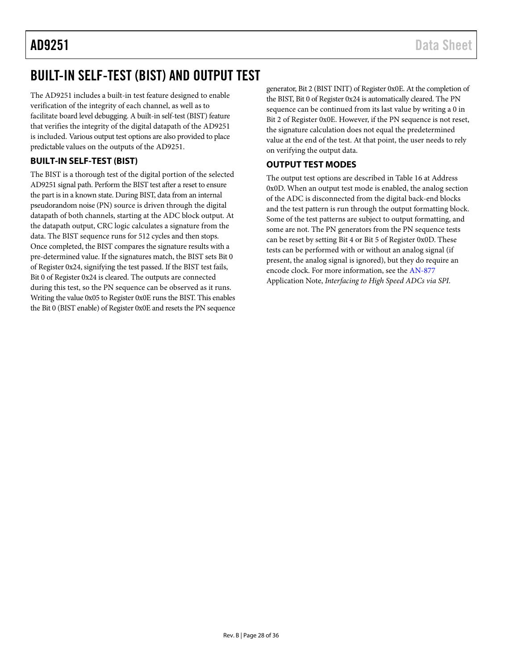# <span id="page-27-0"></span>BUILT-IN SELF-TEST (BIST) AND OUTPUT TEST

The AD9251 includes a built-in test feature designed to enable verification of the integrity of each channel, as well as to facilitate board level debugging. A built-in self-test (BIST) feature that verifies the integrity of the digital datapath of the AD9251 is included. Various output test options are also provided to place predictable values on the outputs of the AD9251.

# <span id="page-27-1"></span>**BUILT-IN SELF-TEST (BIST)**

The BIST is a thorough test of the digital portion of the selected AD9251 signal path. Perform the BIST test after a reset to ensure the part is in a known state. During BIST, data from an internal pseudorandom noise (PN) source is driven through the digital datapath of both channels, starting at the ADC block output. At the datapath output, CRC logic calculates a signature from the data. The BIST sequence runs for 512 cycles and then stops. Once completed, the BIST compares the signature results with a pre-determined value. If the signatures match, the BIST sets Bit 0 of Register 0x24, signifying the test passed. If the BIST test fails, Bit 0 of Register 0x24 is cleared. The outputs are connected during this test, so the PN sequence can be observed as it runs. Writing the value 0x05 to Register 0x0E runs the BIST. This enables the Bit 0 (BIST enable) of Register 0x0E and resets the PN sequence generator, Bit 2 (BIST INIT) of Register 0x0E. At the completion of the BIST, Bit 0 of Register 0x24 is automatically cleared. The PN sequence can be continued from its last value by writing a 0 in Bit 2 of Register 0x0E. However, if the PN sequence is not reset, the signature calculation does not equal the predetermined value at the end of the test. At that point, the user needs to rely on verifying the output data.

# <span id="page-27-2"></span>**OUTPUT TEST MODES**

The output test options are described in [Table 16](#page-31-1) at Address 0x0D. When an output test mode is enabled, the analog section of the ADC is disconnected from the digital back-end blocks and the test pattern is run through the output formatting block. Some of the test patterns are subject to output formatting, and some are not. The PN generators from the PN sequence tests can be reset by setting Bit 4 or Bit 5 of Register 0x0D. These tests can be performed with or without an analog signal (if present, the analog signal is ignored), but they do require an encode clock. For more information, see the [AN-877](http://www.analog.com/an-877) Application Note, *Interfacing to High Speed ADCs via SPI*.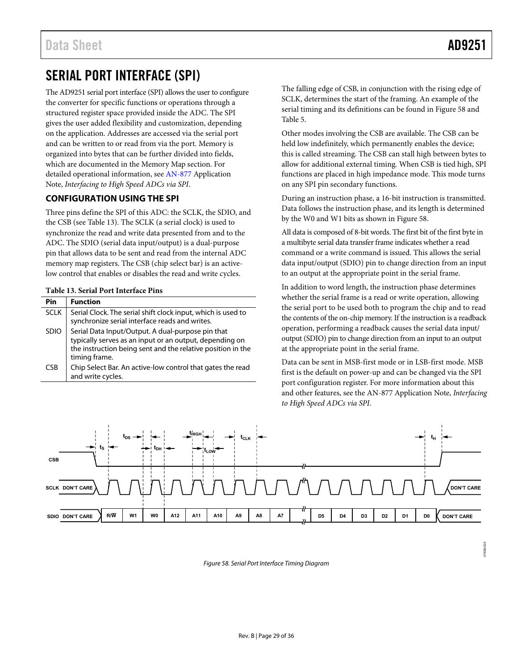07938-023

# <span id="page-28-0"></span>SERIAL PORT INTERFACE (SPI)

The AD9251 serial port interface (SPI) allows the user to configure the converter for specific functions or operations through a structured register space provided inside the ADC. The SPI gives the user added flexibility and customization, depending on the application. Addresses are accessed via the serial port and can be written to or read from via the port. Memory is organized into bytes that can be further divided into fields, which are documented in the [Memory Map s](#page-30-0)ection. For detailed operational information, see [AN-877 A](http://www.analog.com/an-877)pplication Note, *Interfacing to High Speed ADCs via SPI*.

# <span id="page-28-1"></span>**CONFIGURATION USING THE SPI**

Three pins define the SPI of this ADC: the SCLK, the SDIO, and the CSB (see [Table 13\)](#page-28-2). The SCLK (a serial clock) is used to synchronize the read and write data presented from and to the ADC. The SDIO (serial data input/output) is a dual-purpose pin that allows data to be sent and read from the internal ADC memory map registers. The CSB (chip select bar) is an activelow control that enables or disables the read and write cycles.

#### <span id="page-28-2"></span>**Table 13. Serial Port Interface Pins**

| Pin         | <b>Function</b>                                                                                                                                                                              |
|-------------|----------------------------------------------------------------------------------------------------------------------------------------------------------------------------------------------|
| <b>SCLK</b> | Serial Clock. The serial shift clock input, which is used to<br>synchronize serial interface reads and writes.                                                                               |
| <b>SDIO</b> | Serial Data Input/Output. A dual-purpose pin that<br>typically serves as an input or an output, depending on<br>the instruction being sent and the relative position in the<br>timing frame. |
| <b>CSB</b>  | Chip Select Bar. An active-low control that gates the read<br>and write cycles.                                                                                                              |

The falling edge of CSB, in conjunction with the rising edge of SCLK, determines the start of the framing. An example of the serial timing and its definitions can be found in [Figure 58 a](#page-28-3)nd [Table 5.](#page-7-1)

Other modes involving the CSB are available. The CSB can be held low indefinitely, which permanently enables the device; this is called streaming. The CSB can stall high between bytes to allow for additional external timing. When CSB is tied high, SPI functions are placed in high impedance mode. This mode turns on any SPI pin secondary functions.

During an instruction phase, a 16-bit instruction is transmitted. Data follows the instruction phase, and its length is determined by the W0 and W1 bits as shown in [Figure 58.](#page-28-3) 

All data is composed of 8-bit words. The first bit of the first byte in a multibyte serial data transfer frame indicates whether a read command or a write command is issued. This allows the serial data input/output (SDIO) pin to change direction from an input to an output at the appropriate point in the serial frame.

In addition to word length, the instruction phase determines whether the serial frame is a read or write operation, allowing the serial port to be used both to program the chip and to read the contents of the on-chip memory. If the instruction is a readback operation, performing a readback causes the serial data input/ output (SDIO) pin to change direction from an input to an output at the appropriate point in the serial frame.

Data can be sent in MSB-first mode or in LSB-first mode. MSB first is the default on power-up and can be changed via the SPI port configuration register. For more information about this and other features, see the [AN-877 A](http://www.analog.com/an-877)pplication Note, *Interfacing to High Speed ADCs via SPI*.

<span id="page-28-3"></span>

Figure 58. Serial Port Interface Timing Diagram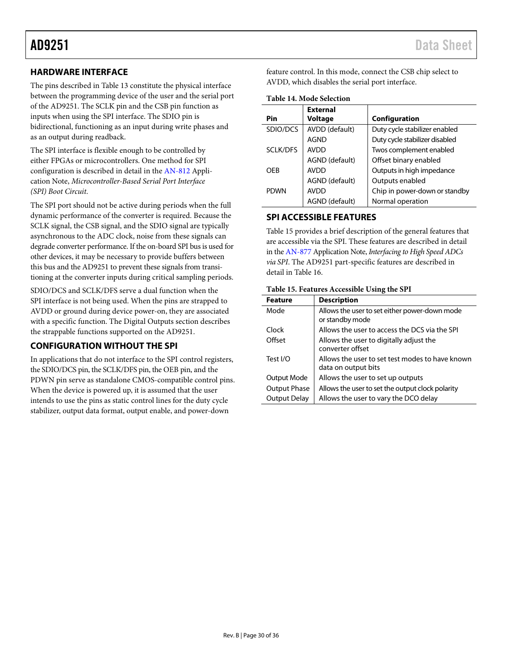# <span id="page-29-0"></span>**HARDWARE INTERFACE**

The pins described in [Table 13](#page-28-2) constitute the physical interface between the programming device of the user and the serial port of the AD9251. The SCLK pin and the CSB pin function as inputs when using the SPI interface. The SDIO pin is bidirectional, functioning as an input during write phases and as an output during readback.

The SPI interface is flexible enough to be controlled by either FPGAs or microcontrollers. One method for SPI configuration is described in detail in the [AN-812](http://www.analog.com/AN-812) Application Note, *Microcontroller-Based Serial Port Interface (SPI) Boot Circuit*.

The SPI port should not be active during periods when the full dynamic performance of the converter is required. Because the SCLK signal, the CSB signal, and the SDIO signal are typically asynchronous to the ADC clock, noise from these signals can degrade converter performance. If the on-board SPI bus is used for other devices, it may be necessary to provide buffers between this bus and the AD9251 to prevent these signals from transitioning at the converter inputs during critical sampling periods.

SDIO/DCS and SCLK/DFS serve a dual function when the SPI interface is not being used. When the pins are strapped to AVDD or ground during device power-on, they are associated with a specific function. The [Digital Outputs](#page-26-0) section describes the strappable functions supported on the AD9251.

# <span id="page-29-1"></span>**CONFIGURATION WITHOUT THE SPI**

In applications that do not interface to the SPI control registers, the SDIO/DCS pin, the SCLK/DFS pin, the OEB pin, and the PDWN pin serve as standalone CMOS-compatible control pins. When the device is powered up, it is assumed that the user intends to use the pins as static control lines for the duty cycle stabilizer, output data format, output enable, and power-down

feature control. In this mode, connect the CSB chip select to AVDD, which disables the serial port interface.

**Table 14. Mode Selection**

|                 | <b>External</b> |                                |
|-----------------|-----------------|--------------------------------|
| Pin             | <b>Voltage</b>  | Configuration                  |
| SDIO/DCS        | AVDD (default)  | Duty cycle stabilizer enabled  |
|                 | AGND            | Duty cycle stabilizer disabled |
| <b>SCLK/DFS</b> | <b>AVDD</b>     | Twos complement enabled        |
|                 | AGND (default)  | Offset binary enabled          |
| OFB             | <b>AVDD</b>     | Outputs in high impedance      |
|                 | AGND (default)  | Outputs enabled                |
| <b>PDWN</b>     | <b>AVDD</b>     | Chip in power-down or standby  |
|                 | AGND (default)  | Normal operation               |

# <span id="page-29-2"></span>**SPI ACCESSIBLE FEATURES**

[Table 15](#page-29-3) provides a brief description of the general features that are accessible via the SPI. These features are described in detail in the [AN-877](http://www.analog.com/an-877) Application Note, *Interfacing to High Speed ADCs via SPI*. The [AD9251](http://www.analog.com/ada9251) part-specific features are described in detail in [Table 16.](#page-31-1)

### <span id="page-29-3"></span>**Table 15. Features Accessible Using the SPI**

| <b>Feature</b>      | <b>Description</b>                                                     |
|---------------------|------------------------------------------------------------------------|
| Mode                | Allows the user to set either power-down mode<br>or standby mode       |
| Clock               | Allows the user to access the DCS via the SPI                          |
| Offset              | Allows the user to digitally adjust the<br>converter offset            |
| Test I/O            | Allows the user to set test modes to have known<br>data on output bits |
| Output Mode         | Allows the user to set up outputs                                      |
| <b>Output Phase</b> | Allows the user to set the output clock polarity                       |
| Output Delay        | Allows the user to vary the DCO delay                                  |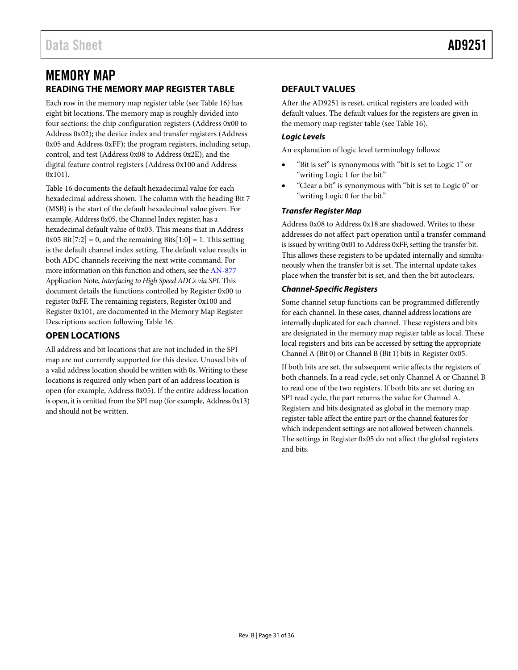# <span id="page-30-0"></span>MEMORY MAP **READING THE MEMORY MAP REGISTER TABLE**

<span id="page-30-1"></span>Each row in the memory map register table (see [Table 16\)](#page-31-1) has eight bit locations. The memory map is roughly divided into four sections: the chip configuration registers (Address 0x00 to Address 0x02); the device index and transfer registers (Address 0x05 and Address 0xFF); the program registers, including setup, control, and test (Address 0x08 to Address 0x2E); and the digital feature control registers (Address 0x100 and Address 0x101).

[Table 16](#page-31-1) documents the default hexadecimal value for each hexadecimal address shown. The column with the heading Bit 7 (MSB) is the start of the default hexadecimal value given. For example, Address 0x05, the Channel Index register, has a hexadecimal default value of 0x03. This means that in Address  $0x05 \text{ Bit}[7:2] = 0$ , and the remaining Bits $[1:0] = 1$ . This setting is the default channel index setting. The default value results in both ADC channels receiving the next write command. For more information on this function and others, see the [AN-877](http://www.analog.com/an-877) Application Note, *Interfacing to High Speed ADCs via SPI.* This document details the functions controlled by Register 0x00 to register 0xFF. The remaining registers, Register 0x100 and Register 0x101, are documented in th[e Memory Map Register](#page-33-0)  [Descriptions](#page-33-0) section followin[g Table 16.](#page-31-1)

# <span id="page-30-2"></span>**OPEN LOCATIONS**

All address and bit locations that are not included in the SPI map are not currently supported for this device. Unused bits of a valid address location should be written with 0s. Writing to these locations is required only when part of an address location is open (for example, Address 0x05). If the entire address location is open, it is omitted from the SPI map (for example, Address 0x13) and should not be written.

# <span id="page-30-3"></span>**DEFAULT VALUES**

After the AD9251 is reset, critical registers are loaded with default values. The default values for the registers are given in the memory map register table (se[e Table 16\)](#page-31-1).

## *Logic Levels*

An explanation of logic level terminology follows:

- "Bit is set" is synonymous with "bit is set to Logic 1" or "writing Logic 1 for the bit."
- "Clear a bit" is synonymous with "bit is set to Logic 0" or "writing Logic 0 for the bit."

## *Transfer Register Map*

Address 0x08 to Address 0x18 are shadowed. Writes to these addresses do not affect part operation until a transfer command is issued by writing 0x01 to Address 0xFF, setting the transfer bit. This allows these registers to be updated internally and simultaneously when the transfer bit is set. The internal update takes place when the transfer bit is set, and then the bit autoclears.

## *Channel-Specific Registers*

Some channel setup functions can be programmed differently for each channel. In these cases, channel address locations are internally duplicated for each channel. These registers and bits are designated in the memory map register table as local. These local registers and bits can be accessed by setting the appropriate Channel A (Bit 0) or Channel B (Bit 1) bits in Register 0x05.

If both bits are set, the subsequent write affects the registers of both channels. In a read cycle, set only Channel A or Channel B to read one of the two registers. If both bits are set during an SPI read cycle, the part returns the value for Channel A. Registers and bits designated as global in the memory map register table affect the entire part or the channel features for which independent settings are not allowed between channels. The settings in Register 0x05 do not affect the global registers and bits.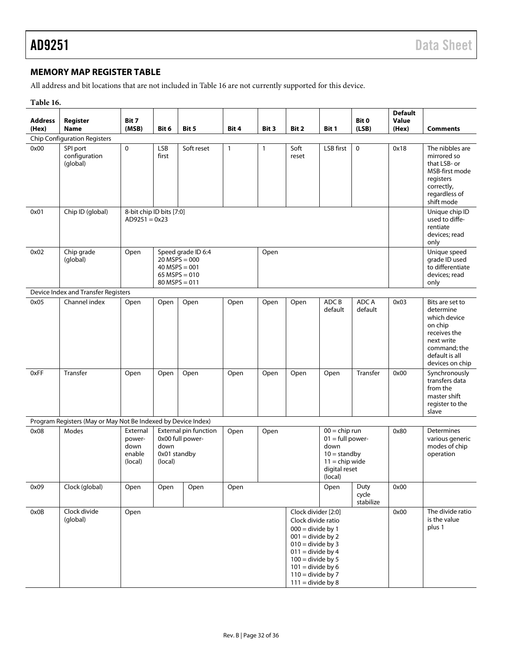# <span id="page-31-0"></span>**MEMORY MAP REGISTER TABLE**

All address and bit locations that are not included in [Table 16](#page-31-1) are not currently supported for this device.

<span id="page-31-1"></span>

| Table 16. |  |
|-----------|--|
|-----------|--|

| <b>Address</b><br>(Hex) | Register<br><b>Name</b>                                       | Bit 7<br>(MSB)                                  | Bit 6                                                                    | Bit 5                                     | Bit 4        | Bit 3        | Bit 2                                                                                                                                                                                                                             | Bit 1                                                                                                          | Bit 0<br>(LSB)             | <b>Default</b><br>Value<br>(Hex)                                      | <b>Comments</b>                                                                                                                            |
|-------------------------|---------------------------------------------------------------|-------------------------------------------------|--------------------------------------------------------------------------|-------------------------------------------|--------------|--------------|-----------------------------------------------------------------------------------------------------------------------------------------------------------------------------------------------------------------------------------|----------------------------------------------------------------------------------------------------------------|----------------------------|-----------------------------------------------------------------------|--------------------------------------------------------------------------------------------------------------------------------------------|
|                         | <b>Chip Configuration Registers</b>                           |                                                 |                                                                          |                                           |              |              |                                                                                                                                                                                                                                   |                                                                                                                |                            |                                                                       |                                                                                                                                            |
| 0x00                    | SPI port<br>configuration<br>(global)                         | 0                                               | LSB<br>first                                                             | Soft reset                                | $\mathbf{1}$ | $\mathbf{1}$ | Soft<br>reset                                                                                                                                                                                                                     | LSB first                                                                                                      | $\mathbf 0$                | 0x18                                                                  | The nibbles are<br>mirrored so<br>that LSB- or<br>MSB-first mode<br>registers<br>correctly,<br>regardless of<br>shift mode                 |
| 0x01                    | Chip ID (global)                                              |                                                 | 8-bit chip ID bits [7:0]<br>$AD9251 = 0x23$                              |                                           |              |              |                                                                                                                                                                                                                                   |                                                                                                                |                            | Unique chip ID<br>used to diffe-<br>rentiate<br>devices; read<br>only |                                                                                                                                            |
| 0x02                    | Chip grade<br>(global)                                        | Open                                            | $20$ MSPS = 000<br>$40$ MSPS = 001<br>65 MSPS = $010$<br>$80$ MSPS = 011 | Speed grade ID 6:4                        |              | Open         |                                                                                                                                                                                                                                   |                                                                                                                |                            |                                                                       | Unique speed<br>grade ID used<br>to differentiate<br>devices; read<br>only                                                                 |
|                         | Device Index and Transfer Registers                           |                                                 |                                                                          |                                           |              |              |                                                                                                                                                                                                                                   |                                                                                                                |                            |                                                                       |                                                                                                                                            |
| 0x05                    | Channel index                                                 | Open                                            | Open                                                                     | Open                                      | Open         | Open         | Open                                                                                                                                                                                                                              | ADC B<br>default                                                                                               | ADC A<br>default           | 0x03                                                                  | Bits are set to<br>determine<br>which device<br>on chip<br>receives the<br>next write<br>command; the<br>default is all<br>devices on chip |
| 0xFF                    | Transfer                                                      | Open                                            | Open                                                                     | Open                                      | Open         | Open         | Open                                                                                                                                                                                                                              | Open                                                                                                           | Transfer                   | 0x00                                                                  | Synchronously<br>transfers data<br>from the<br>master shift<br>register to the<br>slave                                                    |
|                         | Program Registers (May or May Not Be Indexed by Device Index) |                                                 |                                                                          |                                           |              |              |                                                                                                                                                                                                                                   |                                                                                                                |                            |                                                                       |                                                                                                                                            |
| 0x08                    | Modes                                                         | External<br>power-<br>down<br>enable<br>(local) | down<br>0x01 standby<br>(local)                                          | External pin function<br>0x00 full power- | Open         | Open         |                                                                                                                                                                                                                                   | $00 =$ chip run<br>$01 = full power$<br>down<br>$10 =$ standby<br>$11 =$ chip wide<br>digital reset<br>(local) |                            | 0x80                                                                  | Determines<br>various generic<br>modes of chip<br>operation                                                                                |
| 0x09                    | Clock (global)                                                | Open                                            | Open                                                                     | Open                                      | Open         |              |                                                                                                                                                                                                                                   | Open                                                                                                           | Duty<br>cycle<br>stabilize | 0x00                                                                  |                                                                                                                                            |
| 0x0B                    | Clock divide<br>(global)                                      | Open                                            |                                                                          |                                           |              |              | Clock divider [2:0]<br>Clock divide ratio<br>$000 =$ divide by 1<br>$001$ = divide by 2<br>$010 =$ divide by 3<br>$011 =$ divide by 4<br>$100 =$ divide by 5<br>$101$ = divide by 6<br>$110 =$ divide by 7<br>$111 =$ divide by 8 |                                                                                                                |                            | 0x00                                                                  | The divide ratio<br>is the value<br>plus 1                                                                                                 |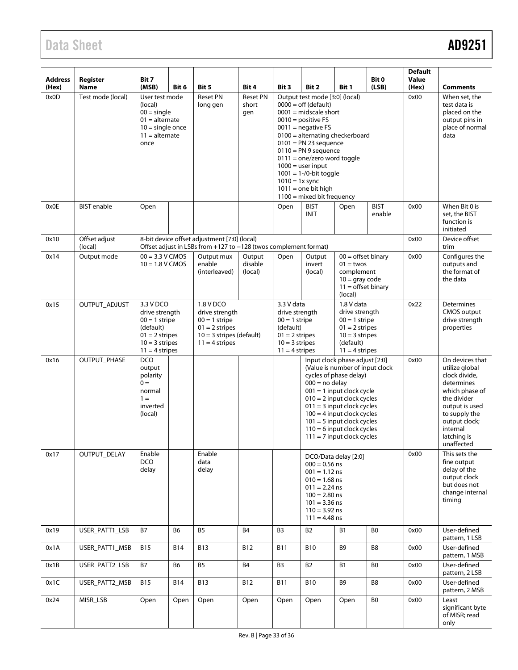# Data Sheet **AD9251**

| <b>Address</b><br>(Hex) | Register<br><b>Name</b>  | Bit 7<br>(MSB)                                                                                                                       | Bit 6          | Bit 5                                                                                                            | Bit 4                           | Bit 3                                                                                                                                                                                                                                                                                                                                                                                           | Bit 2                                                                                                                                                                        | Bit 1                                                                                                                                                                                                                                                                                                                                          | Bit 0<br>(LSB)        | <b>Default</b><br>Value<br>(Hex)                                                                          | <b>Comments</b>                                                                                                                                                                                |
|-------------------------|--------------------------|--------------------------------------------------------------------------------------------------------------------------------------|----------------|------------------------------------------------------------------------------------------------------------------|---------------------------------|-------------------------------------------------------------------------------------------------------------------------------------------------------------------------------------------------------------------------------------------------------------------------------------------------------------------------------------------------------------------------------------------------|------------------------------------------------------------------------------------------------------------------------------------------------------------------------------|------------------------------------------------------------------------------------------------------------------------------------------------------------------------------------------------------------------------------------------------------------------------------------------------------------------------------------------------|-----------------------|-----------------------------------------------------------------------------------------------------------|------------------------------------------------------------------------------------------------------------------------------------------------------------------------------------------------|
| 0x0D                    | Test mode (local)        | User test mode<br>(local)<br>$00 =$ single<br>$01 =$ alternate<br>$10 =$ single once<br>$11 =$ alternate<br>once                     |                | <b>Reset PN</b><br>long gen                                                                                      | <b>Reset PN</b><br>short<br>gen | Output test mode [3:0] (local)<br>$0000 =$ off (default)<br>$0001$ = midscale short<br>$0010 =$ positive FS<br>$0011$ = negative FS<br>$0100 =$ alternating checkerboard<br>$0101$ = PN 23 sequence<br>$0110 = PN9$ sequence<br>$0111 =$ one/zero word toggle<br>$1000 =$ user input<br>$1001 = 1 - 0$ -bit toggle<br>$1010 = 1x$ sync<br>$1011$ = one bit high<br>$1100$ = mixed bit frequency |                                                                                                                                                                              |                                                                                                                                                                                                                                                                                                                                                |                       | 0x00                                                                                                      | When set, the<br>test data is<br>placed on the<br>output pins in<br>place of normal<br>data                                                                                                    |
| 0x0E                    | <b>BIST</b> enable       | Open                                                                                                                                 |                |                                                                                                                  |                                 | Open                                                                                                                                                                                                                                                                                                                                                                                            | <b>BIST</b><br><b>INIT</b>                                                                                                                                                   | Open                                                                                                                                                                                                                                                                                                                                           | <b>BIST</b><br>enable | 0x00                                                                                                      | When Bit 0 is<br>set, the BIST<br>function is<br>initiated                                                                                                                                     |
| 0x10                    | Offset adjust<br>(local) |                                                                                                                                      |                | 8-bit device offset adjustment [7:0] (local)<br>Offset adjust in LSBs from +127 to -128 (twos complement format) |                                 |                                                                                                                                                                                                                                                                                                                                                                                                 |                                                                                                                                                                              |                                                                                                                                                                                                                                                                                                                                                |                       | 0x00                                                                                                      | Device offset<br>trim                                                                                                                                                                          |
| 0x14                    | Output mode              | $00 = 3.3$ V CMOS<br>$10 = 1.8 V CMOS$                                                                                               |                | Output mux<br>enable<br>(interleaved)                                                                            | Output<br>disable<br>(local)    | Open                                                                                                                                                                                                                                                                                                                                                                                            | Output<br>invert<br>(local)                                                                                                                                                  | $00 =$ offset binary<br>$01 =$ twos<br>complement<br>$10 =$ qray code<br>$11 =$ offset binary<br>(local)                                                                                                                                                                                                                                       |                       | 0x00                                                                                                      | Configures the<br>outputs and<br>the format of<br>the data                                                                                                                                     |
| 0x15                    | OUTPUT_ADJUST            | 3.3 V DCO<br>1.8 V DCO<br>drive strength<br>$00 = 1$ stripe<br>(default)<br>$01 = 2$ stripes<br>$10 = 3$ stripes<br>$11 = 4$ stripes |                | drive strength<br>$00 = 1$ stripe<br>$01 = 2$ stripes<br>$10 = 3$ stripes (default)<br>$11 = 4$ stripes          |                                 | 3.3 V data<br>drive strength<br>$00 = 1$ stripe<br>(default)<br>$01 = 2$ stripes<br>$10 = 3$ stripes<br>$11 = 4$ stripes                                                                                                                                                                                                                                                                        |                                                                                                                                                                              | 1.8 V data<br>drive strength<br>$00 = 1$ stripe<br>$01 = 2$ stripes<br>$10 = 3$ stripes<br>(default)<br>$11 = 4$ stripes                                                                                                                                                                                                                       |                       | 0x22                                                                                                      | Determines<br><b>CMOS</b> output<br>drive strength<br>properties                                                                                                                               |
| 0x16                    | OUTPUT_PHASE             | <b>DCO</b><br>output<br>polarity<br>$0 =$<br>normal<br>$1 =$<br>inverted<br>(local)                                                  |                |                                                                                                                  |                                 |                                                                                                                                                                                                                                                                                                                                                                                                 |                                                                                                                                                                              | Input clock phase adjust [2:0]<br>(Value is number of input clock<br>cycles of phase delay)<br>$000 = no$ delay<br>$001 = 1$ input clock cycle<br>$010 = 2$ input clock cycles<br>$011 = 3$ input clock cycles<br>$100 = 4$ input clock cycles<br>$101 = 5$ input clock cycles<br>$110 = 6$ input clock cycles<br>$111 = 7$ input clock cycles |                       | 0x00                                                                                                      | On devices that<br>utilize global<br>clock divide,<br>determines<br>which phase of<br>the divider<br>output is used<br>to supply the<br>output clock;<br>internal<br>latching is<br>unaffected |
| 0x17                    | OUTPUT_DELAY             | Enable<br><b>DCO</b><br>delay                                                                                                        |                | Enable<br>data<br>delay                                                                                          |                                 |                                                                                                                                                                                                                                                                                                                                                                                                 | DCO/Data delay [2:0]<br>$000 = 0.56$ ns<br>$001 = 1.12$ ns<br>$010 = 1.68$ ns<br>$011 = 2.24$ ns<br>$100 = 2.80$ ns<br>$101 = 3.36$ ns<br>$110 = 3.92$ ns<br>$111 = 4.48$ ns |                                                                                                                                                                                                                                                                                                                                                | 0x00                  | This sets the<br>fine output<br>delay of the<br>output clock<br>but does not<br>change internal<br>timing |                                                                                                                                                                                                |
| 0x19                    | USER_PATT1_LSB           | <b>B7</b>                                                                                                                            | B <sub>6</sub> | <b>B5</b>                                                                                                        | <b>B4</b>                       | B <sub>3</sub>                                                                                                                                                                                                                                                                                                                                                                                  | <b>B2</b>                                                                                                                                                                    | <b>B1</b>                                                                                                                                                                                                                                                                                                                                      | B <sub>0</sub>        | 0x00                                                                                                      | User-defined<br>pattern, 1 LSB                                                                                                                                                                 |
| 0x1A                    | USER_PATT1_MSB           | <b>B15</b>                                                                                                                           | <b>B14</b>     | <b>B13</b>                                                                                                       | <b>B12</b>                      | <b>B11</b>                                                                                                                                                                                                                                                                                                                                                                                      | <b>B10</b>                                                                                                                                                                   | B <sub>9</sub>                                                                                                                                                                                                                                                                                                                                 | B <sub>8</sub>        | 0x00                                                                                                      | User-defined<br>pattern, 1 MSB                                                                                                                                                                 |
| 0x1B                    | USER_PATT2_LSB           | <b>B7</b>                                                                                                                            | <b>B6</b>      | <b>B5</b>                                                                                                        | <b>B4</b>                       | B <sub>3</sub>                                                                                                                                                                                                                                                                                                                                                                                  | <b>B2</b>                                                                                                                                                                    | <b>B1</b>                                                                                                                                                                                                                                                                                                                                      | B <sub>0</sub>        | 0x00                                                                                                      | User-defined<br>pattern, 2 LSB                                                                                                                                                                 |
| 0x1C                    | USER_PATT2_MSB           | <b>B15</b>                                                                                                                           | <b>B14</b>     | <b>B13</b>                                                                                                       | <b>B12</b>                      | <b>B11</b>                                                                                                                                                                                                                                                                                                                                                                                      | <b>B10</b>                                                                                                                                                                   | B9                                                                                                                                                                                                                                                                                                                                             | B8                    | 0x00                                                                                                      | User-defined<br>pattern, 2 MSB                                                                                                                                                                 |
| 0x24                    | MISR_LSB                 | Open                                                                                                                                 | Open           | Open                                                                                                             | Open                            | Open                                                                                                                                                                                                                                                                                                                                                                                            | Open                                                                                                                                                                         | Open                                                                                                                                                                                                                                                                                                                                           | B <sub>0</sub>        | 0x00                                                                                                      | Least<br>significant byte<br>of MISR; read<br>only                                                                                                                                             |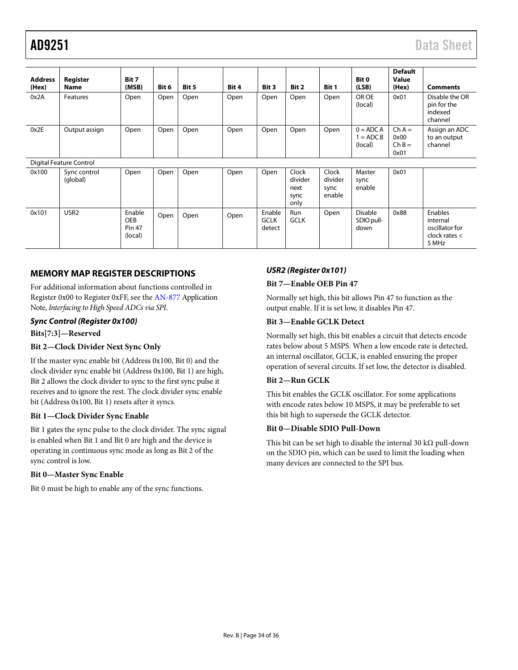| <b>Address</b><br>(Hex) | Register<br><b>Name</b>  | Bit 7<br>(MSB)                                   | Bit 6 | Bit 5 | Bit 4 | Bit 3                           | Bit 2                                    | Bit 1                              | Bit 0<br>(LSB)                       | <b>Default</b><br>Value<br>(Hex)     | <b>Comments</b>                                                   |
|-------------------------|--------------------------|--------------------------------------------------|-------|-------|-------|---------------------------------|------------------------------------------|------------------------------------|--------------------------------------|--------------------------------------|-------------------------------------------------------------------|
| 0x2A                    | Features                 | Open                                             | Open  | Open  | Open  | Open                            | Open                                     | Open                               | OR OE<br>(local)                     | 0x01                                 | Disable the OR<br>pin for the<br>indexed<br>channel               |
| 0x2E                    | Output assign            | Open                                             | Open  | Open  | Open  | Open                            | Open                                     | Open                               | $0 = ADC A$<br>$= ADCB$<br>(local)   | $Ch A =$<br>0x00<br>$Ch B =$<br>0x01 | Assign an ADC<br>to an output<br>channel                          |
|                         | Digital Feature Control  |                                                  |       |       |       |                                 |                                          |                                    |                                      |                                      |                                                                   |
| 0x100                   | Sync control<br>(global) | Open                                             | Open  | Open  | Open  | Open                            | Clock<br>divider<br>next<br>sync<br>only | Clock<br>divider<br>sync<br>enable | Master<br>sync<br>enable             | 0x01                                 |                                                                   |
| 0x101                   | USR <sub>2</sub>         | Enable<br><b>OEB</b><br><b>Pin 47</b><br>(local) | Open  | Open  | Open  | Enable<br><b>GCLK</b><br>detect | Run<br><b>GCLK</b>                       | Open                               | <b>Disable</b><br>SDIO pull-<br>down | 0x88                                 | Enables<br>internal<br>oscillator for<br>clock rates $<$<br>5 MHz |

## <span id="page-33-0"></span>**MEMORY MAP REGISTER DESCRIPTIONS**

For additional information about functions controlled in Register 0x00 to Register 0xFF, see th[e AN-877](http://www.analog.com/an-877) Application Note, *Interfacing to High Speed ADCs via SPI*.

## *Sync Control (Register 0x100)*

**Bits[7:3]—Reserved**

### **Bit 2—Clock Divider Next Sync Only**

If the master sync enable bit (Address 0x100, Bit 0) and the clock divider sync enable bit (Address 0x100, Bit 1) are high, Bit 2 allows the clock divider to sync to the first sync pulse it receives and to ignore the rest. The clock divider sync enable bit (Address 0x100, Bit 1) resets after it syncs.

#### **Bit 1—Clock Divider Sync Enable**

Bit 1 gates the sync pulse to the clock divider. The sync signal is enabled when Bit 1 and Bit 0 are high and the device is operating in continuous sync mode as long as Bit 2 of the sync control is low.

### **Bit 0—Master Sync Enable**

Bit 0 must be high to enable any of the sync functions.

# *USR2 (Register 0x101)*

## **Bit 7—Enable OEB Pin 47**

Normally set high, this bit allows Pin 47 to function as the output enable. If it is set low, it disables Pin 47.

### **Bit 3—Enable GCLK Detect**

Normally set high, this bit enables a circuit that detects encode rates below about 5 MSPS. When a low encode rate is detected, an internal oscillator, GCLK, is enabled ensuring the proper operation of several circuits. If set low, the detector is disabled.

### **Bit 2—Run GCLK**

This bit enables the GCLK oscillator. For some applications with encode rates below 10 MSPS, it may be preferable to set this bit high to supersede the GCLK detector.

### **Bit 0—Disable SDIO Pull-Down**

This bit can be set high to disable the internal 30 kΩ pull-down on the SDIO pin, which can be used to limit the loading when many devices are connected to the SPI bus.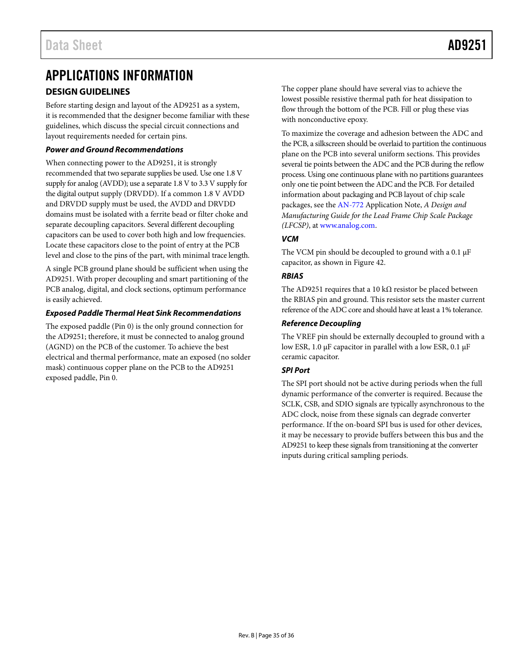# <span id="page-34-0"></span>APPLICATIONS INFORMATION

# <span id="page-34-1"></span>**DESIGN GUIDELINES**

Before starting design and layout of the AD9251 as a system, it is recommended that the designer become familiar with these guidelines, which discuss the special circuit connections and layout requirements needed for certain pins.

## *Power and Ground Recommendations*

When connecting power to the AD9251, it is strongly recommended that two separate supplies be used. Use one 1.8 V supply for analog (AVDD); use a separate 1.8 V to 3.3 V supply for the digital output supply (DRVDD). If a common 1.8 V AVDD and DRVDD supply must be used, the AVDD and DRVDD domains must be isolated with a ferrite bead or filter choke and separate decoupling capacitors. Several different decoupling capacitors can be used to cover both high and low frequencies. Locate these capacitors close to the point of entry at the PCB level and close to the pins of the part, with minimal trace length.

A single PCB ground plane should be sufficient when using the AD9251. With proper decoupling and smart partitioning of the PCB analog, digital, and clock sections, optimum performance is easily achieved.

## *Exposed Paddle Thermal Heat Sink Recommendations*

The exposed paddle (Pin 0) is the only ground connection for the AD9251; therefore, it must be connected to analog ground (AGND) on the PCB of the customer. To achieve the best electrical and thermal performance, mate an exposed (no solder mask) continuous copper plane on the PCB to the AD9251 exposed paddle, Pin 0.

The copper plane should have several vias to achieve the lowest possible resistive thermal path for heat dissipation to flow through the bottom of the PCB. Fill or plug these vias with nonconductive epoxy.

To maximize the coverage and adhesion between the ADC and the PCB, a silkscreen should be overlaid to partition the continuous plane on the PCB into several uniform sections. This provides several tie points between the ADC and the PCB during the reflow process. Using one continuous plane with no partitions guarantees only one tie point between the ADC and the PCB. For detailed information about packaging and PCB layout of chip scale packages, see th[e AN-772](http://www.analog.com/AN-772) Application Note, *A Design and Manufacturing Guide for the Lead Frame Chip Scale Package (LFCSP)*, a[t www.analog.com.](http://www.analog.com/)

## *VCM*

The VCM pin should be decoupled to ground with a 0.1 μF capacitor, as shown in [Figure 42.](#page-20-3)

## *RBIAS*

The AD9251 requires that a 10 k $\Omega$  resistor be placed between the RBIAS pin and ground. This resistor sets the master current reference of the ADC core and should have at least a 1% tolerance.

### <span id="page-34-2"></span>*Reference Decoupling*

The VREF pin should be externally decoupled to ground with a low ESR, 1.0 μF capacitor in parallel with a low ESR, 0.1 μF ceramic capacitor.

# *SPI Port*

The SPI port should not be active during periods when the full dynamic performance of the converter is required. Because the SCLK, CSB, and SDIO signals are typically asynchronous to the ADC clock, noise from these signals can degrade converter performance. If the on-board SPI bus is used for other devices, it may be necessary to provide buffers between this bus and the AD9251 to keep these signals from transitioning at the converter inputs during critical sampling periods.